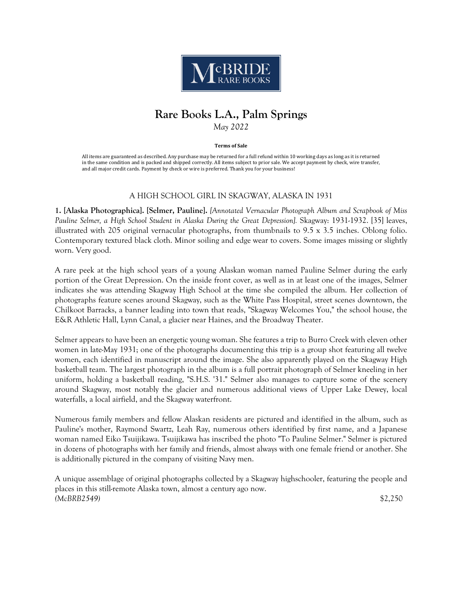

# **Rare Books L.A., Palm Springs** *May 2022*

**Terms of Sale**

All items are guaranteed as described. Any purchase may be returned for a full refund within 10 working days as long as it is returned in the same condition and is packed and shipped correctly. All items subject to prior sale. We accept payment by check, wire transfer, and all major credit cards. Payment by check or wire is preferred. Thank you for your business!

# A HIGH SCHOOL GIRL IN SKAGWAY, ALASKA IN 1931

**1. [Alaska Photographica]. [Selmer, Pauline].** *[Annotated Vernacular Photograph Album and Scrapbook of Miss Pauline Selmer, a High School Student in Alaska During the Great Depression].* Skagway: 1931-1932. [35] leaves, illustrated with 205 original vernacular photographs, from thumbnails to 9.5 x 3.5 inches. Oblong folio. Contemporary textured black cloth. Minor soiling and edge wear to covers. Some images missing or slightly worn. Very good.

A rare peek at the high school years of a young Alaskan woman named Pauline Selmer during the early portion of the Great Depression. On the inside front cover, as well as in at least one of the images, Selmer indicates she was attending Skagway High School at the time she compiled the album. Her collection of photographs feature scenes around Skagway, such as the White Pass Hospital, street scenes downtown, the Chilkoot Barracks, a banner leading into town that reads, "Skagway Welcomes You," the school house, the E&R Athletic Hall, Lynn Canal, a glacier near Haines, and the Broadway Theater.

Selmer appears to have been an energetic young woman. She features a trip to Burro Creek with eleven other women in late-May 1931; one of the photographs documenting this trip is a group shot featuring all twelve women, each identified in manuscript around the image. She also apparently played on the Skagway High basketball team. The largest photograph in the album is a full portrait photograph of Selmer kneeling in her uniform, holding a basketball reading, "S.H.S. '31." Selmer also manages to capture some of the scenery around Skagway, most notably the glacier and numerous additional views of Upper Lake Dewey, local waterfalls, a local airfield, and the Skagway waterfront.

Numerous family members and fellow Alaskan residents are pictured and identified in the album, such as Pauline's mother, Raymond Swartz, Leah Ray, numerous others identified by first name, and a Japanese woman named Eiko Tsuijikawa. Tsuijikawa has inscribed the photo "To Pauline Selmer." Selmer is pictured in dozens of photographs with her family and friends, almost always with one female friend or another. She is additionally pictured in the company of visiting Navy men.

A unique assemblage of original photographs collected by a Skagway highschooler, featuring the people and places in this still-remote Alaska town, almost a century ago now. *(McBRB2549)* \$2,250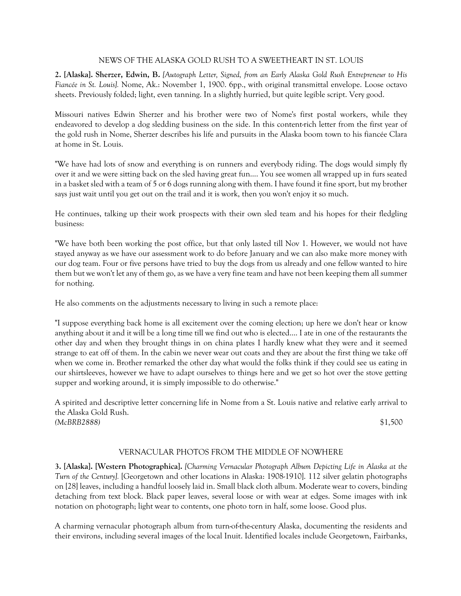# NEWS OF THE ALASKA GOLD RUSH TO A SWEETHEART IN ST. LOUIS

**2. [Alaska]. Sherzer, Edwin, B.** *[Autograph Letter, Signed, from an Early Alaska Gold Rush Entrepreneur to His Fiancée in St. Louis].* Nome, Ak.: November 1, 1900. 6pp., with original transmittal envelope. Loose octavo sheets. Previously folded; light, even tanning. In a slightly hurried, but quite legible script. Very good.

Missouri natives Edwin Sherzer and his brother were two of Nome's first postal workers, while they endeavored to develop a dog sledding business on the side. In this content-rich letter from the first year of the gold rush in Nome, Sherzer describes his life and pursuits in the Alaska boom town to his fiancée Clara at home in St. Louis.

"We have had lots of snow and everything is on runners and everybody riding. The dogs would simply fly over it and we were sitting back on the sled having great fun.... You see women all wrapped up in furs seated in a basket sled with a team of 5 or 6 dogs running along with them. I have found it fine sport, but my brother says just wait until you get out on the trail and it is work, then you won't enjoy it so much.

He continues, talking up their work prospects with their own sled team and his hopes for their fledgling business:

"We have both been working the post office, but that only lasted till Nov 1. However, we would not have stayed anyway as we have our assessment work to do before January and we can also make more money with our dog team. Four or five persons have tried to buy the dogs from us already and one fellow wanted to hire them but we won't let any of them go, as we have a very fine team and have not been keeping them all summer for nothing.

He also comments on the adjustments necessary to living in such a remote place:

"I suppose everything back home is all excitement over the coming election; up here we don't hear or know anything about it and it will be a long time till we find out who is elected.... I ate in one of the restaurants the other day and when they brought things in on china plates I hardly knew what they were and it seemed strange to eat off of them. In the cabin we never wear out coats and they are about the first thing we take off when we come in. Brother remarked the other day what would the folks think if they could see us eating in our shirtsleeves, however we have to adapt ourselves to things here and we get so hot over the stove getting supper and working around, it is simply impossible to do otherwise."

A spirited and descriptive letter concerning life in Nome from a St. Louis native and relative early arrival to the Alaska Gold Rush. *(McBRB2888)* \$1,500

# VERNACULAR PHOTOS FROM THE MIDDLE OF NOWHERE

**3. [Alaska]. [Western Photographica].** *[Charming Vernacular Photograph Album Depicting Life in Alaska at the Turn of the Century].* [Georgetown and other locations in Alaska: 1908-1910]. 112 silver gelatin photographs on [28] leaves, including a handful loosely laid in. Small black cloth album. Moderate wear to covers, binding detaching from text block. Black paper leaves, several loose or with wear at edges. Some images with ink notation on photograph; light wear to contents, one photo torn in half, some loose. Good plus.

A charming vernacular photograph album from turn-of-the-century Alaska, documenting the residents and their environs, including several images of the local Inuit. Identified locales include Georgetown, Fairbanks,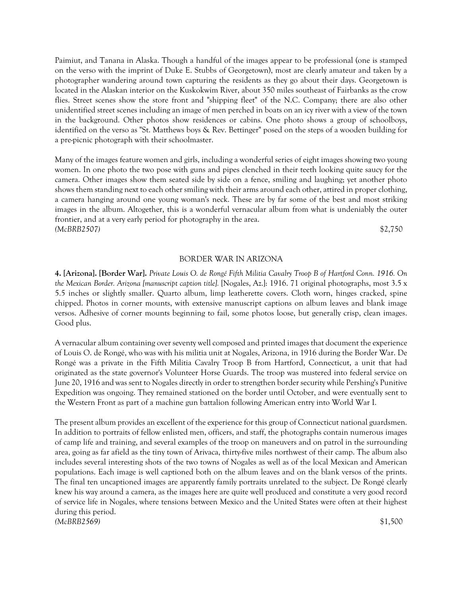Paimiut, and Tanana in Alaska. Though a handful of the images appear to be professional (one is stamped on the verso with the imprint of Duke E. Stubbs of Georgetown), most are clearly amateur and taken by a photographer wandering around town capturing the residents as they go about their days. Georgetown is located in the Alaskan interior on the Kuskokwim River, about 350 miles southeast of Fairbanks as the crow flies. Street scenes show the store front and "shipping fleet" of the N.C. Company; there are also other unidentified street scenes including an image of men perched in boats on an icy river with a view of the town in the background. Other photos show residences or cabins. One photo shows a group of schoolboys, identified on the verso as "St. Matthews boys & Rev. Bettinger" posed on the steps of a wooden building for a pre-picnic photograph with their schoolmaster.

Many of the images feature women and girls, including a wonderful series of eight images showing two young women. In one photo the two pose with guns and pipes clenched in their teeth looking quite saucy for the camera. Other images show them seated side by side on a fence, smiling and laughing; yet another photo shows them standing next to each other smiling with their arms around each other, attired in proper clothing, a camera hanging around one young woman's neck. These are by far some of the best and most striking images in the album. Altogether, this is a wonderful vernacular album from what is undeniably the outer frontier, and at a very early period for photography in the area. *(McBRB2507)* \$2,750

### BORDER WAR IN ARIZONA

**4. [Arizona]. [Border War].** *Private Louis O. de Rongé Fifth Militia Cavalry Troop B of Hartford Conn. 1916. On the Mexican Border. Arizona [manuscript caption title].* [Nogales, Az.]: 1916. 71 original photographs, most 3.5 x 5.5 inches or slightly smaller. Quarto album, limp leatherette covers. Cloth worn, hinges cracked, spine chipped. Photos in corner mounts, with extensive manuscript captions on album leaves and blank image versos. Adhesive of corner mounts beginning to fail, some photos loose, but generally crisp, clean images. Good plus.

A vernacular album containing over seventy well composed and printed images that document the experience of Louis O. de Rongé, who was with his militia unit at Nogales, Arizona, in 1916 during the Border War. De Rongé was a private in the Fifth Militia Cavalry Troop B from Hartford, Connecticut, a unit that had originated as the state governor's Volunteer Horse Guards. The troop was mustered into federal service on June 20, 1916 and was sent to Nogales directly in order to strengthen border security while Pershing's Punitive Expedition was ongoing. They remained stationed on the border until October, and were eventually sent to the Western Front as part of a machine gun battalion following American entry into World War I.

The present album provides an excellent of the experience for this group of Connecticut national guardsmen. In addition to portraits of fellow enlisted men, officers, and staff, the photographs contain numerous images of camp life and training, and several examples of the troop on maneuvers and on patrol in the surrounding area, going as far afield as the tiny town of Arivaca, thirty-five miles northwest of their camp. The album also includes several interesting shots of the two towns of Nogales as well as of the local Mexican and American populations. Each image is well captioned both on the album leaves and on the blank versos of the prints. The final ten uncaptioned images are apparently family portraits unrelated to the subject. De Rongé clearly knew his way around a camera, as the images here are quite well produced and constitute a very good record of service life in Nogales, where tensions between Mexico and the United States were often at their highest during this period. *(McBRB2569)* \$1,500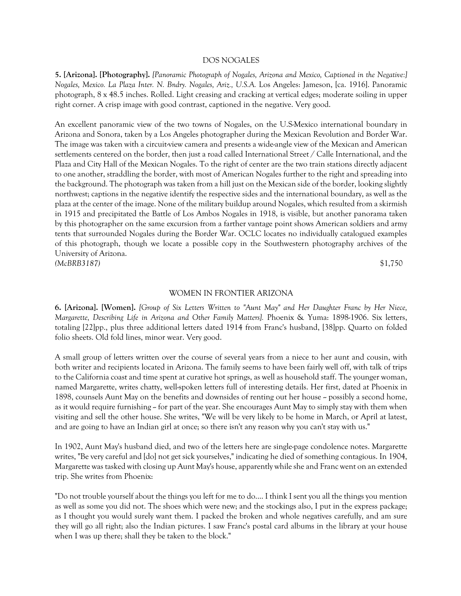#### DOS NOGALES

**5. [Arizona]. [Photography].** *[Panoramic Photograph of Nogales, Arizona and Mexico, Captioned in the Negative:] Nogales, Mexico. La Plaza Inter. N. Bndry. Nogales, Ariz., U.S.A.* Los Angeles: Jameson, [ca. 1916]. Panoramic photograph, 8 x 48.5 inches. Rolled. Light creasing and cracking at vertical edges; moderate soiling in upper right corner. A crisp image with good contrast, captioned in the negative. Very good.

An excellent panoramic view of the two towns of Nogales, on the U.S-Mexico international boundary in Arizona and Sonora, taken by a Los Angeles photographer during the Mexican Revolution and Border War. The image was taken with a circuit-view camera and presents a wide-angle view of the Mexican and American settlements centered on the border, then just a road called International Street / Calle International, and the Plaza and City Hall of the Mexican Nogales. To the right of center are the two train stations directly adjacent to one another, straddling the border, with most of American Nogales further to the right and spreading into the background. The photograph was taken from a hill just on the Mexican side of the border, looking slightly northwest; captions in the negative identify the respective sides and the international boundary, as well as the plaza at the center of the image. None of the military buildup around Nogales, which resulted from a skirmish in 1915 and precipitated the Battle of Los Ambos Nogales in 1918, is visible, but another panorama taken by this photographer on the same excursion from a farther vantage point shows American soldiers and army tents that surrounded Nogales during the Border War. OCLC locates no individually catalogued examples of this photograph, though we locate a possible copy in the Southwestern photography archives of the University of Arizona. *(McBRB3187)* \$1,750

#### WOMEN IN FRONTIER ARIZONA

**6. [Arizona]. [Women].** *[Group of Six Letters Written to "Aunt May" and Her Daughter Franc by Her Niece, Margarette, Describing Life in Arizona and Other Family Matters].* Phoenix & Yuma: 1898-1906. Six letters, totaling [22]pp., plus three additional letters dated 1914 from Franc's husband, [38]pp. Quarto on folded folio sheets. Old fold lines, minor wear. Very good.

A small group of letters written over the course of several years from a niece to her aunt and cousin, with both writer and recipients located in Arizona. The family seems to have been fairly well off, with talk of trips to the California coast and time spent at curative hot springs, as well as household staff. The younger woman, named Margarette, writes chatty, well-spoken letters full of interesting details. Her first, dated at Phoenix in 1898, counsels Aunt May on the benefits and downsides of renting out her house  $\sim$  possibly a second home, as it would require furnishing  $\sim$  for part of the year. She encourages Aunt May to simply stay with them when visiting and sell the other house. She writes, "We will be very likely to be home in March, or April at latest, and are going to have an Indian girl at once; so there isn't any reason why you can't stay with us."

In 1902, Aunt May's husband died, and two of the letters here are single-page condolence notes. Margarette writes, "Be very careful and [do] not get sick yourselves," indicating he died of something contagious. In 1904, Margarette was tasked with closing up Aunt May's house, apparently while she and Franc went on an extended trip. She writes from Phoenix:

"Do not trouble yourself about the things you left for me to do.... I think I sent you all the things you mention as well as some you did not. The shoes which were new; and the stockings also, I put in the express package; as I thought you would surely want them. I packed the broken and whole negatives carefully, and am sure they will go all right; also the Indian pictures. I saw Franc's postal card albums in the library at your house when I was up there; shall they be taken to the block."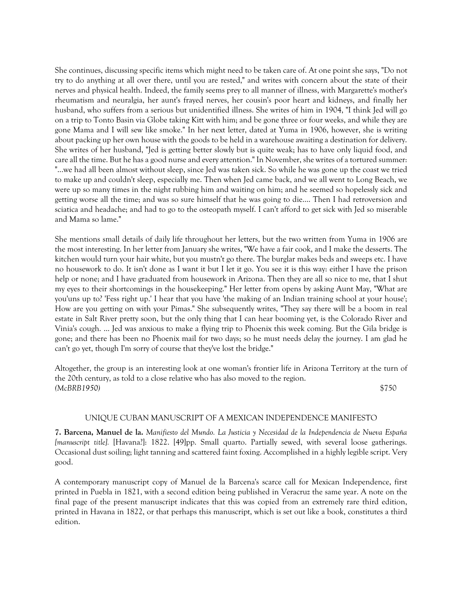She continues, discussing specific items which might need to be taken care of. At one point she says, "Do not try to do anything at all over there, until you are rested," and writes with concern about the state of their nerves and physical health. Indeed, the family seems prey to all manner of illness, with Margarette's mother's rheumatism and neuralgia, her aunt's frayed nerves, her cousin's poor heart and kidneys, and finally her husband, who suffers from a serious but unidentified illness. She writes of him in 1904, "I think Jed will go on a trip to Tonto Basin via Globe taking Kitt with him; and be gone three or four weeks, and while they are gone Mama and I will sew like smoke." In her next letter, dated at Yuma in 1906, however, she is writing about packing up her own house with the goods to be held in a warehouse awaiting a destination for delivery. She writes of her husband, "Jed is getting better slowly but is quite weak; has to have only liquid food, and care all the time. But he has a good nurse and every attention." In November, she writes of a tortured summer: "...we had all been almost without sleep, since Jed was taken sick. So while he was gone up the coast we tried to make up and couldn't sleep, especially me. Then when Jed came back, and we all went to Long Beach, we were up so many times in the night rubbing him and waiting on him; and he seemed so hopelessly sick and getting worse all the time; and was so sure himself that he was going to die.... Then I had retroversion and sciatica and headache; and had to go to the osteopath myself. I can't afford to get sick with Jed so miserable and Mama so lame."

She mentions small details of daily life throughout her letters, but the two written from Yuma in 1906 are the most interesting. In her letter from January she writes, "We have a fair cook, and I make the desserts. The kitchen would turn your hair white, but you mustn't go there. The burglar makes beds and sweeps etc. I have no housework to do. It isn't done as I want it but I let it go. You see it is this way: either I have the prison help or none; and I have graduated from housework in Arizona. Then they are all so nice to me, that I shut my eyes to their shortcomings in the housekeeping." Her letter from opens by asking Aunt May, "What are you'uns up to? 'Fess right up.' I hear that you have 'the making of an Indian training school at your house'; How are you getting on with your Pimas." She subsequently writes, "They say there will be a boom in real estate in Salt River pretty soon, but the only thing that I can hear booming yet, is the Colorado River and Vinia's cough. ... Jed was anxious to make a flying trip to Phoenix this week coming. But the Gila bridge is gone; and there has been no Phoenix mail for two days; so he must needs delay the journey. I am glad he can't go yet, though I'm sorry of course that they've lost the bridge."

Altogether, the group is an interesting look at one woman's frontier life in Arizona Territory at the turn of the 20th century, as told to a close relative who has also moved to the region. *(McBRB1950)* \$750

# UNIQUE CUBAN MANUSCRIPT OF A MEXICAN INDEPENDENCE MANIFESTO

**7. Barcena, Manuel de la.** *Manifiesto del Mundo. La Justicia y Necesidad de la Independencia de Nueva España [manuscript title].* [Havana?]: 1822. [49]pp. Small quarto. Partially sewed, with several loose gatherings. Occasional dust soiling; light tanning and scattered faint foxing. Accomplished in a highly legible script. Very good.

A contemporary manuscript copy of Manuel de la Barcena's scarce call for Mexican Independence, first printed in Puebla in 1821, with a second edition being published in Veracruz the same year. A note on the final page of the present manuscript indicates that this was copied from an extremely rare third edition, printed in Havana in 1822, or that perhaps this manuscript, which is set out like a book, constitutes a third edition.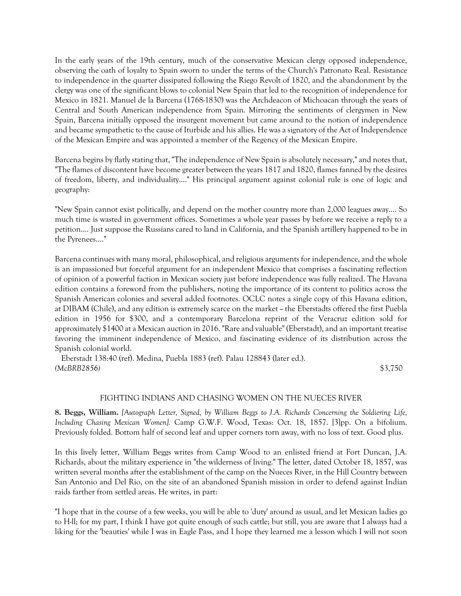In the early years of the 19th century, much of the conservative Mexican clergy opposed independence, observing the oath of loyalty to Spain sworn to under the terms of the Church's Patronato Real. Resistance to independence in the quarter dissipated following the Riego Revolt of 1820, and the abandonment by the clergy was one of the significant blows to colonial New Spain that led to the recognition of independence for Mexico in 1821. Manuel de la Barcena (1768-1830) was the Archdeacon of Michoacan through the years of Central and South American independence from Spain. Mirroring the sentiments of clergymen in New Spain, Barcena initially opposed the insurgent movement but came around to the notion of independence and became sympathetic to the cause of Iturbide and his allies. He was a signatory of the Act of Independence of the Mexican Empire and was appointed a member of the Regency of the Mexican Empire.

Barcena begins by flatly stating that, "The independence of New Spain is absolutely necessary," and notes that, "The flames of discontent have become greater between the years 1817 and 1820, flames fanned by the desires of freedom, liberty, and individuality...." His principal argument against colonial rule is one of logic and geography:

"New Spain cannot exist politically, and depend on the mother country more than 2,000 leagues away.... So much time is wasted in government offices. Sometimes a whole year passes by before we receive a reply to a petition.... Just suppose the Russians cared to land in California, and the Spanish artillery happened to be in the Pyrenees...."

Barcena continues with many moral, philosophical, and religious arguments for independence, and the whole is an impassioned but forceful argument for an independent Mexico that comprises a fascinating reflection of opinion of a powerful faction in Mexican society just before independence was fully realized. The Havana edition contains a foreword from the publishers, noting the importance of its content to politics across the Spanish American colonies and several added footnotes. OCLC notes a single copy of this Havana edition, at DIBAM (Chile), and any edition is extremely scarce on the market -- the Eberstadts offered the first Puebla edition in 1956 for \$300, and a contemporary Barcelona reprint of the Veracruz edition sold for approximately \$1400 at a Mexican auction in 2016. "Rare and valuable" (Eberstadt), and an important treatise favoring the imminent independence of Mexico, and fascinating evidence of its distribution across the Spanish colonial world.

 Eberstadt 138:40 (ref). Medina, Puebla 1883 (ref). Palau 128843 (later ed.). *(McBRB2856)* \$3,750

# FIGHTING INDIANS AND CHASING WOMEN ON THE NUECES RIVER

**8. Beggs, William.** *[Autograph Letter, Signed, by William Beggs to J.A. Richards Concerning the Soldiering Life, Including Chasing Mexican Women].* Camp G.W.F. Wood, Texas: Oct. 18, 1857. [3]pp. On a bifolium. Previously folded. Bottom half of second leaf and upper corners torn away, with no loss of text. Good plus.

In this lively letter, William Beggs writes from Camp Wood to an enlisted friend at Fort Duncan, J.A. Richards, about the military experience in "the wilderness of living." The letter, dated October 18, 1857, was written several months after the establishment of the camp on the Nueces River, in the Hill Country between San Antonio and Del Rio, on the site of an abandoned Spanish mission in order to defend against Indian raids farther from settled areas. He writes, in part:

"I hope that in the course of a few weeks, you will be able to 'duty' around as usual, and let Mexican ladies go to H-ll; for my part, I think I have got quite enough of such cattle; but still, you are aware that I always had a liking for the 'beauties' while I was in Eagle Pass, and I hope they learned me a lesson which I will not soon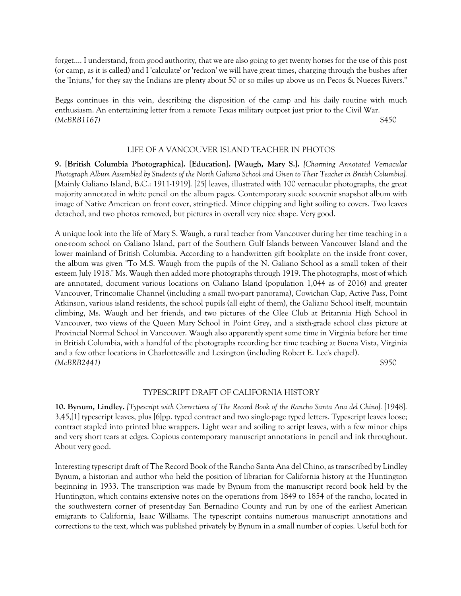forget.... I understand, from good authority, that we are also going to get twenty horses for the use of this post (or camp, as it is called) and I 'calculate' or 'reckon' we will have great times, charging through the bushes after the 'Injuns,' for they say the Indians are plenty about 50 or so miles up above us on Pecos & Nueces Rivers."

Beggs continues in this vein, describing the disposition of the camp and his daily routine with much enthusiasm. An entertaining letter from a remote Texas military outpost just prior to the Civil War. *(McBRB1167)* \$450

#### LIFE OF A VANCOUVER ISLAND TEACHER IN PHOTOS

**9. [British Columbia Photographica]. [Education]. [Waugh, Mary S.].** *[Charming Annotated Vernacular Photograph Album Assembled by Students of the North Galiano School and Given to Their Teacher in British Columbia].* [Mainly Galiano Island, B.C.: 1911-1919]. [25] leaves, illustrated with 100 vernacular photographs, the great majority annotated in white pencil on the album pages. Contemporary suede souvenir snapshot album with image of Native American on front cover, string-tied. Minor chipping and light soiling to covers. Two leaves detached, and two photos removed, but pictures in overall very nice shape. Very good.

A unique look into the life of Mary S. Waugh, a rural teacher from Vancouver during her time teaching in a one-room school on Galiano Island, part of the Southern Gulf Islands between Vancouver Island and the lower mainland of British Columbia. According to a handwritten gift bookplate on the inside front cover, the album was given "To M.S. Waugh from the pupils of the N. Galiano School as a small token of their esteem July 1918." Ms. Waugh then added more photographs through 1919. The photographs, most of which are annotated, document various locations on Galiano Island (population 1,044 as of 2016) and greater Vancouver, Trincomalie Channel (including a small two-part panorama), Cowichan Gap, Active Pass, Point Atkinson, various island residents, the school pupils (all eight of them), the Galiano School itself, mountain climbing, Ms. Waugh and her friends, and two pictures of the Glee Club at Britannia High School in Vancouver, two views of the Queen Mary School in Point Grey, and a sixth-grade school class picture at Provincial Normal School in Vancouver. Waugh also apparently spent some time in Virginia before her time in British Columbia, with a handful of the photographs recording her time teaching at Buena Vista, Virginia and a few other locations in Charlottesville and Lexington (including Robert E. Lee's chapel). *(McBRB2441)* \$950

# TYPESCRIPT DRAFT OF CALIFORNIA HISTORY

**10. Bynum, Lindley.** *[Typescript with Corrections of The Record Book of the Rancho Santa Ana del Chino].* [1948]. 3,45,[1] typescript leaves, plus [6]pp. typed contract and two single-page typed letters. Typescript leaves loose; contract stapled into printed blue wrappers. Light wear and soiling to script leaves, with a few minor chips and very short tears at edges. Copious contemporary manuscript annotations in pencil and ink throughout. About very good.

Interesting typescript draft of The Record Book of the Rancho Santa Ana del Chino, as transcribed by Lindley Bynum, a historian and author who held the position of librarian for California history at the Huntington beginning in 1933. The transcription was made by Bynum from the manuscript record book held by the Huntington, which contains extensive notes on the operations from 1849 to 1854 of the rancho, located in the southwestern corner of present-day San Bernadino County and run by one of the earliest American emigrants to California, Isaac Williams. The typescript contains numerous manuscript annotations and corrections to the text, which was published privately by Bynum in a small number of copies. Useful both for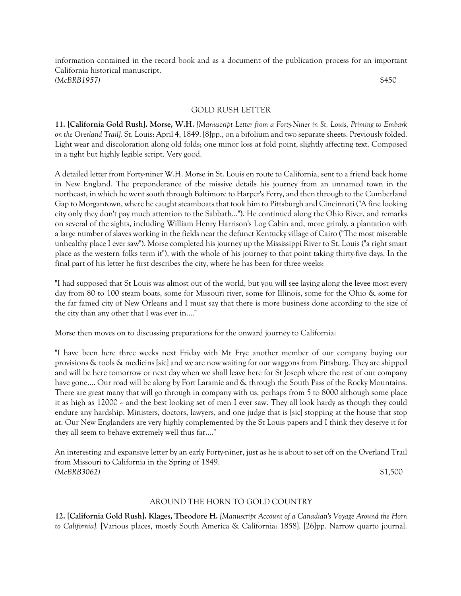information contained in the record book and as a document of the publication process for an important California historical manuscript. *(McBRB1957)* \$450

### GOLD RUSH LETTER

**11. [California Gold Rush]. Morse, W.H.** *[Manuscript Letter from a Forty-Niner in St. Louis, Priming to Embark on the Overland Trail].* St. Louis: April 4, 1849. [8]pp., on a bifolium and two separate sheets. Previously folded. Light wear and discoloration along old folds; one minor loss at fold point, slightly affecting text. Composed in a tight but highly legible script. Very good.

A detailed letter from Forty-niner W.H. Morse in St. Louis en route to California, sent to a friend back home in New England. The preponderance of the missive details his journey from an unnamed town in the northeast, in which he went south through Baltimore to Harper's Ferry, and then through to the Cumberland Gap to Morgantown, where he caught steamboats that took him to Pittsburgh and Cincinnati ("A fine looking city only they don't pay much attention to the Sabbath..."). He continued along the Ohio River, and remarks on several of the sights, including William Henry Harrison's Log Cabin and, more grimly, a plantation with a large number of slaves working in the fields near the defunct Kentucky village of Cairo ("The most miserable unhealthy place I ever saw"). Morse completed his journey up the Mississippi River to St. Louis ("a right smart place as the western folks term it"), with the whole of his journey to that point taking thirty-five days. In the final part of his letter he first describes the city, where he has been for three weeks:

"I had supposed that St Louis was almost out of the world, but you will see laying along the levee most every day from 80 to 100 steam boats, some for Missouri river, some for Illinois, some for the Ohio & some for the far famed city of New Orleans and I must say that there is more business done according to the size of the city than any other that I was ever in...."

Morse then moves on to discussing preparations for the onward journey to California:

"I have been here three weeks next Friday with Mr Frye another member of our company buying our provisions & tools & medicins [sic] and we are now waiting for our waggons from Pittsburg. They are shipped and will be here tomorrow or next day when we shall leave here for St Joseph where the rest of our company have gone.... Our road will be along by Fort Laramie and & through the South Pass of the Rocky Mountains. There are great many that will go through in company with us, perhaps from 5 to 8000 although some place it as high as 12000 - and the best looking set of men I ever saw. They all look hardy as though they could endure any hardship. Ministers, doctors, lawyers, and one judge that is [sic] stopping at the house that stop at. Our New Englanders are very highly complemented by the St Louis papers and I think they deserve it for they all seem to behave extremely well thus far...."

An interesting and expansive letter by an early Forty-niner, just as he is about to set off on the Overland Trail from Missouri to California in the Spring of 1849. *(McBRB3062)* \$1,500

# AROUND THE HORN TO GOLD COUNTRY

**12. [California Gold Rush]. Klages, Theodore H.** *[Manuscript Account of a Canadian's Voyage Around the Horn to California].* [Various places, mostly South America & California: 1858]. [26]pp. Narrow quarto journal.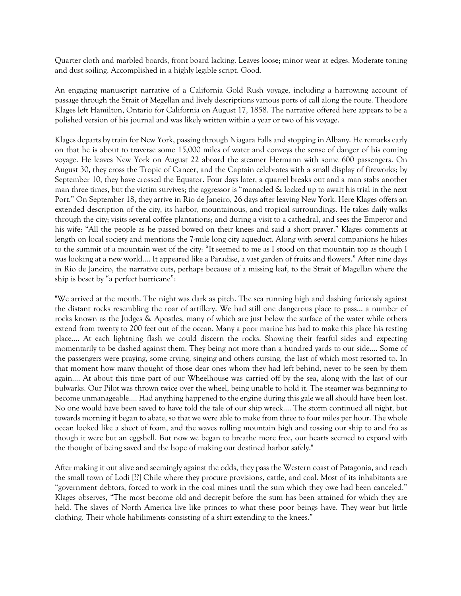Quarter cloth and marbled boards, front board lacking. Leaves loose; minor wear at edges. Moderate toning and dust soiling. Accomplished in a highly legible script. Good.

An engaging manuscript narrative of a California Gold Rush voyage, including a harrowing account of passage through the Strait of Megellan and lively descriptions various ports of call along the route. Theodore Klages left Hamilton, Ontario for California on August 17, 1858. The narrative offered here appears to be a polished version of his journal and was likely written within a year or two of his voyage.

Klages departs by train for New York, passing through Niagara Falls and stopping in Albany. He remarks early on that he is about to traverse some 15,000 miles of water and conveys the sense of danger of his coming voyage. He leaves New York on August 22 aboard the steamer Hermann with some 600 passengers. On August 30, they cross the Tropic of Cancer, and the Captain celebrates with a small display of fireworks; by September 10, they have crossed the Equator. Four days later, a quarrel breaks out and a man stabs another man three times, but the victim survives; the aggressor is "manacled & locked up to await his trial in the next Port." On September 18, they arrive in Rio de Janeiro, 26 days after leaving New York. Here Klages offers an extended description of the city, its harbor, mountainous, and tropical surroundings. He takes daily walks through the city; visits several coffee plantations; and during a visit to a cathedral, and sees the Emperor and his wife: "All the people as he passed bowed on their knees and said a short prayer." Klages comments at length on local society and mentions the 7-mile long city aqueduct. Along with several companions he hikes to the summit of a mountain west of the city: "It seemed to me as I stood on that mountain top as though I was looking at a new world…. It appeared like a Paradise, a vast garden of fruits and flowers." After nine days in Rio de Janeiro, the narrative cuts, perhaps because of a missing leaf, to the Strait of Magellan where the ship is beset by "a perfect hurricane":

"We arrived at the mouth. The night was dark as pitch. The sea running high and dashing furiously against the distant rocks resembling the roar of artillery. We had still one dangerous place to pass… a number of rocks known as the Judges & Apostles, many of which are just below the surface of the water while others extend from twenty to 200 feet out of the ocean. Many a poor marine has had to make this place his resting place…. At each lightning flash we could discern the rocks. Showing their fearful sides and expecting momentarily to be dashed against them. They being not more than a hundred yards to our side…. Some of the passengers were praying, some crying, singing and others cursing, the last of which most resorted to. In that moment how many thought of those dear ones whom they had left behind, never to be seen by them again…. At about this time part of our Wheelhouse was carried off by the sea, along with the last of our bulwarks. Our Pilot was thrown twice over the wheel, being unable to hold it. The steamer was beginning to become unmanageable…. Had anything happened to the engine during this gale we all should have been lost. No one would have been saved to have told the tale of our ship wreck…. The storm continued all night, but towards morning it began to abate, so that we were able to make from three to four miles per hour. The whole ocean looked like a sheet of foam, and the waves rolling mountain high and tossing our ship to and fro as though it were but an eggshell. But now we began to breathe more free, our hearts seemed to expand with the thought of being saved and the hope of making our destined harbor safely."

After making it out alive and seemingly against the odds, they pass the Western coast of Patagonia, and reach the small town of Lodi [??] Chile where they procure provisions, cattle, and coal. Most of its inhabitants are "government debtors, forced to work in the coal mines until the sum which they owe had been canceled." Klages observes, "The most become old and decrepit before the sum has been attained for which they are held. The slaves of North America live like princes to what these poor beings have. They wear but little clothing. Their whole habiliments consisting of a shirt extending to the knees."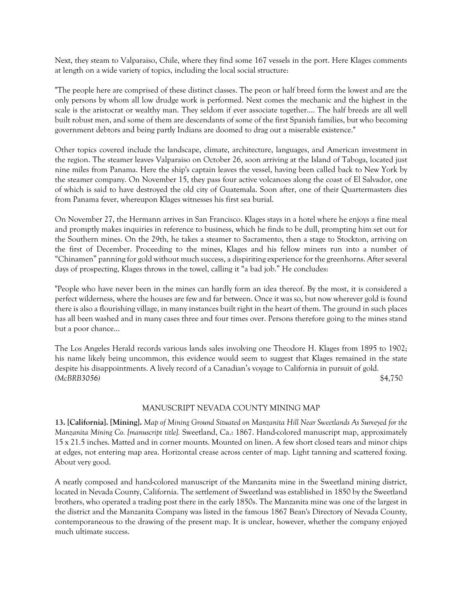Next, they steam to Valparaiso, Chile, where they find some 167 vessels in the port. Here Klages comments at length on a wide variety of topics, including the local social structure:

"The people here are comprised of these distinct classes. The peon or half breed form the lowest and are the only persons by whom all low drudge work is performed. Next comes the mechanic and the highest in the scale is the aristocrat or wealthy man. They seldom if ever associate together…. The half breeds are all well built robust men, and some of them are descendants of some of the first Spanish families, but who becoming government debtors and being partly Indians are doomed to drag out a miserable existence."

Other topics covered include the landscape, climate, architecture, languages, and American investment in the region. The steamer leaves Valparaiso on October 26, soon arriving at the Island of Taboga, located just nine miles from Panama. Here the ship's captain leaves the vessel, having been called back to New York by the steamer company. On November 15, they pass four active volcanoes along the coast of El Salvador, one of which is said to have destroyed the old city of Guatemala. Soon after, one of their Quartermasters dies from Panama fever, whereupon Klages witnesses his first sea burial.

On November 27, the Hermann arrives in San Francisco. Klages stays in a hotel where he enjoys a fine meal and promptly makes inquiries in reference to business, which he finds to be dull, prompting him set out for the Southern mines. On the 29th, he takes a steamer to Sacramento, then a stage to Stockton, arriving on the first of December. Proceeding to the mines, Klages and his fellow miners run into a number of "Chinamen" panning for gold without much success, a dispiriting experience for the greenhorns. After several days of prospecting, Klages throws in the towel, calling it "a bad job." He concludes:

"People who have never been in the mines can hardly form an idea thereof. By the most, it is considered a perfect wilderness, where the houses are few and far between. Once it was so, but now wherever gold is found there is also a flourishing village, in many instances built right in the heart of them. The ground in such places has all been washed and in many cases three and four times over. Persons therefore going to the mines stand but a poor chance…

The Los Angeles Herald records various lands sales involving one Theodore H. Klages from 1895 to 1902; his name likely being uncommon, this evidence would seem to suggest that Klages remained in the state despite his disappointments. A lively record of a Canadian's voyage to California in pursuit of gold. *(McBRB3056)* \$4,750

# MANUSCRIPT NEVADA COUNTY MINING MAP

**13. [California]. [Mining].** *Map of Mining Ground Situated on Manzanita Hill Near Sweetlands As Surveyed for the Manzanita Mining Co. [manuscript title].* Sweetland, Ca.: 1867. Hand-colored manuscript map, approximately 15 x 21.5 inches. Matted and in corner mounts. Mounted on linen. A few short closed tears and minor chips at edges, not entering map area. Horizontal crease across center of map. Light tanning and scattered foxing. About very good.

A neatly composed and hand-colored manuscript of the Manzanita mine in the Sweetland mining district, located in Nevada County, California. The settlement of Sweetland was established in 1850 by the Sweetland brothers, who operated a trading post there in the early 1850s. The Manzanita mine was one of the largest in the district and the Manzanita Company was listed in the famous 1867 Bean's Directory of Nevada County, contemporaneous to the drawing of the present map. It is unclear, however, whether the company enjoyed much ultimate success.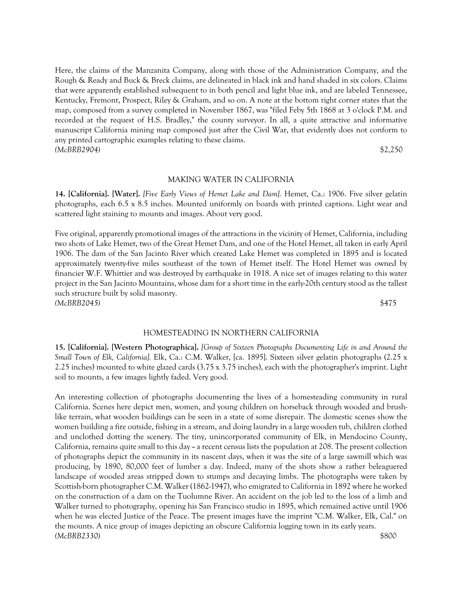Here, the claims of the Manzanita Company, along with those of the Administration Company, and the Rough & Ready and Buck & Breck claims, are delineated in black ink and hand shaded in six colors. Claims that were apparently established subsequent to in both pencil and light blue ink, and are labeled Tennessee, Kentucky, Fremont, Prospect, Riley & Graham, and so on. A note at the bottom right corner states that the map, composed from a survey completed in November 1867, was "filed Feby 5th 1868 at 3 o'clock P.M. and recorded at the request of H.S. Bradley," the county surveyor. In all, a quite attractive and informative manuscript California mining map composed just after the Civil War, that evidently does not conform to any printed cartographic examples relating to these claims. *(McBRB2904)* \$2,250

#### MAKING WATER IN CALIFORNIA

**14. [California]. [Water].** *[Five Early Views of Hemet Lake and Dam].* Hemet, Ca.: 1906. Five silver gelatin photographs, each 6.5 x 8.5 inches. Mounted uniformly on boards with printed captions. Light wear and scattered light staining to mounts and images. About very good.

Five original, apparently promotional images of the attractions in the vicinity of Hemet, California, including two shots of Lake Hemet, two of the Great Hemet Dam, and one of the Hotel Hemet, all taken in early April 1906. The dam of the San Jacinto River which created Lake Hemet was completed in 1895 and is located approximately twenty-five miles southeast of the town of Hemet itself. The Hotel Hemet was owned by financier W.F. Whittier and was destroyed by earthquake in 1918. A nice set of images relating to this water project in the San Jacinto Mountains, whose dam for a short time in the early-20th century stood as the tallest such structure built by solid masonry. *(McBRB2045)* \$475

#### HOMESTEADING IN NORTHERN CALIFORNIA

**15. [California]. [Western Photographica].** *[Group of Sixteen Photographs Documenting Life in and Around the Small Town of Elk, California].* Elk, Ca.: C.M. Walker, [ca. 1895]. Sixteen silver gelatin photographs (2.25 x 2.25 inches) mounted to white glazed cards (3.75 x 3.75 inches), each with the photographer's imprint. Light soil to mounts, a few images lightly faded. Very good.

An interesting collection of photographs documenting the lives of a homesteading community in rural California. Scenes here depict men, women, and young children on horseback through wooded and brushlike terrain, what wooden buildings can be seen in a state of some disrepair. The domestic scenes show the women building a fire outside, fishing in a stream, and doing laundry in a large wooden tub, children clothed and unclothed dotting the scenery. The tiny, unincorporated community of Elk, in Mendocino County, California, remains quite small to this day  $\sim$  a recent census lists the population at 208. The present collection of photographs depict the community in its nascent days, when it was the site of a large sawmill which was producing, by 1890, 80,000 feet of lumber a day. Indeed, many of the shots show a rather beleaguered landscape of wooded areas stripped down to stumps and decaying limbs. The photographs were taken by Scottish-born photographer C.M. Walker (1862-1947), who emigrated to California in 1892 where he worked on the construction of a dam on the Tuolumne River. An accident on the job led to the loss of a limb and Walker turned to photography, opening his San Francisco studio in 1895, which remained active until 1906 when he was elected Justice of the Peace. The present images have the imprint "C.M. Walker, Elk, Cal." on the mounts. A nice group of images depicting an obscure California logging town in its early years. *(McBRB2330)* \$800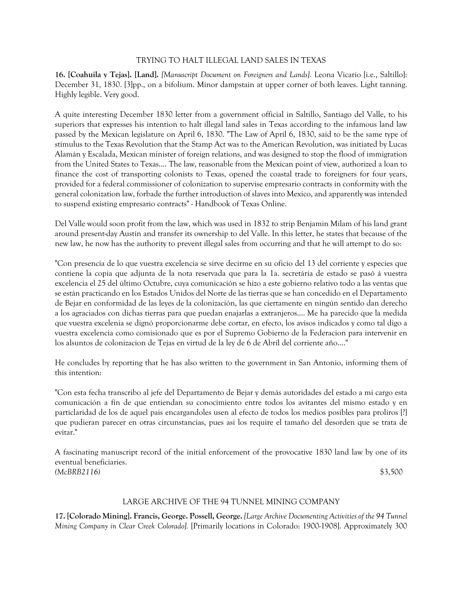# TRYING TO HALT ILLEGAL LAND SALES IN TEXAS

**16. [Coahuila y Tejas]. [Land].** *[Manuscript Document on Foreigners and Lands].* Leona Vicario [i.e., Saltillo]: December 31, 1830. [3]pp., on a bifolium. Minor dampstain at upper corner of both leaves. Light tanning. Highly legible. Very good.

A quite interesting December 1830 letter from a government official in Saltillo, Santiago del Valle, to his superiors that expresses his intention to halt illegal land sales in Texas according to the infamous land law passed by the Mexican legislature on April 6, 1830. "The Law of April 6, 1830, said to be the same type of stimulus to the Texas Revolution that the Stamp Act was to the American Revolution, was initiated by Lucas Alamán y Escalada, Mexican minister of foreign relations, and was designed to stop the flood of immigration from the United States to Texas.... The law, reasonable from the Mexican point of view, authorized a loan to finance the cost of transporting colonists to Texas, opened the coastal trade to foreigners for four years, provided for a federal commissioner of colonization to supervise empresario contracts in conformity with the general colonization law, forbade the further introduction of slaves into Mexico, and apparently was intended to suspend existing empresario contracts" - Handbook of Texas Online.

Del Valle would soon profit from the law, which was used in 1832 to strip Benjamin Milam of his land grant around present-day Austin and transfer its ownership to del Valle. In this letter, he states that because of the new law, he now has the authority to prevent illegal sales from occurring and that he will attempt to do so:

"Con presencia de lo que vuestra excelencia se sirve decirme en su oficio del 13 del corriente y especies que contiene la copia que adjunta de la nota reservada que para la 1a. secretária de estado se pasó á vuestra excelencia el 25 del último Octubre, cuya comunicación se hizo a este gobierno relativo todo a las ventas que se están practicando en los Estados Unidos del Norte de las tierras que se han concedido en el Departamento de Bejar en conformidad de las leyes de la colonización, las que ciertamente en ningún sentido dan derecho a los agraciados con dichas tierras para que puedan enajarlas a extranjeros.... Me ha parecido que la medida que vuestra excelenia se dignó proporcionarme debe cortar, en efecto, los avisos indicados y como tal digo a vuestra excelencia como comisionado que es por el Supremo Gobierno de la Federacion para intervenir en los alsuntos de colonizacion de Tejas en virtud de la ley de 6 de Abril del corriente año...."

He concludes by reporting that he has also written to the government in San Antonio, informing them of this intention:

"Con esta fecha transcribo al jefe del Departamento de Bejar y demás autoridades del estado a mi cargo esta comunicación a fín de que entiendan su conocimiento entre todos los avitantes del mismo estado y en particlaridad de los de aquel pais encargandoles usen al efecto de todos los medios posibles para proliros [?] que pudieran parecer en otras circunstancias, pues asi los require el tamaño del desorden que se trata de evitar."

A fascinating manuscript record of the initial enforcement of the provocative 1830 land law by one of its eventual beneficiaries. *(McBRB2116)* \$3,500

# LARGE ARCHIVE OF THE 94 TUNNEL MINING COMPANY

**17. [Colorado Mining]. Francis, George. Possell, George.** *[Large Archive Documenting Activities of the 94 Tunnel Mining Company in Clear Creek Colorado].* [Primarily locations in Colorado: 1900-1908]. Approximately 300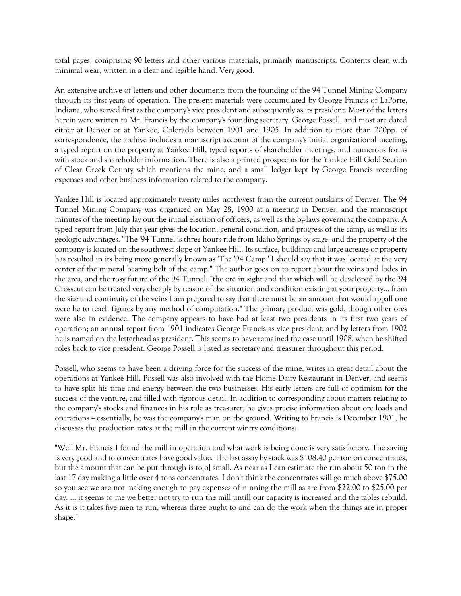total pages, comprising 90 letters and other various materials, primarily manuscripts. Contents clean with minimal wear, written in a clear and legible hand. Very good.

An extensive archive of letters and other documents from the founding of the 94 Tunnel Mining Company through its first years of operation. The present materials were accumulated by George Francis of LaPorte, Indiana, who served first as the company's vice president and subsequently as its president. Most of the letters herein were written to Mr. Francis by the company's founding secretary, George Possell, and most are dated either at Denver or at Yankee, Colorado between 1901 and 1905. In addition to more than 200pp. of correspondence, the archive includes a manuscript account of the company's initial organizational meeting, a typed report on the property at Yankee Hill, typed reports of shareholder meetings, and numerous forms with stock and shareholder information. There is also a printed prospectus for the Yankee Hill Gold Section of Clear Creek County which mentions the mine, and a small ledger kept by George Francis recording expenses and other business information related to the company.

Yankee Hill is located approximately twenty miles northwest from the current outskirts of Denver. The 94 Tunnel Mining Company was organized on May 28, 1900 at a meeting in Denver, and the manuscript minutes of the meeting lay out the initial election of officers, as well as the by-laws governing the company. A typed report from July that year gives the location, general condition, and progress of the camp, as well as its geologic advantages. "The '94 Tunnel is three hours ride from Idaho Springs by stage, and the property of the company is located on the southwest slope of Yankee Hill. Its surface, buildings and large acreage or property has resulted in its being more generally known as 'The '94 Camp.' I should say that it was located at the very center of the mineral bearing belt of the camp." The author goes on to report about the veins and lodes in the area, and the rosy future of the 94 Tunnel: "the ore in sight and that which will be developed by the '94 Crosscut can be treated very cheaply by reason of the situation and condition existing at your property... from the size and continuity of the veins I am prepared to say that there must be an amount that would appall one were he to reach figures by any method of computation." The primary product was gold, though other ores were also in evidence. The company appears to have had at least two presidents in its first two years of operation; an annual report from 1901 indicates George Francis as vice president, and by letters from 1902 he is named on the letterhead as president. This seems to have remained the case until 1908, when he shifted roles back to vice president. George Possell is listed as secretary and treasurer throughout this period.

Possell, who seems to have been a driving force for the success of the mine, writes in great detail about the operations at Yankee Hill. Possell was also involved with the Home Dairy Restaurant in Denver, and seems to have split his time and energy between the two businesses. His early letters are full of optimism for the success of the venture, and filled with rigorous detail. In addition to corresponding about matters relating to the company's stocks and finances in his role as treasurer, he gives precise information about ore loads and operations -- essentially, he was the company's man on the ground. Writing to Francis is December 1901, he discusses the production rates at the mill in the current wintry conditions:

"Well Mr. Francis I found the mill in operation and what work is being done is very satisfactory. The saving is very good and to concentrates have good value. The last assay by stack was \$108.40 per ton on concentrates, but the amount that can be put through is to[o] small. As near as I can estimate the run about 50 ton in the last 17 day making a little over 4 tons concentrates. I don't think the concentrates will go much above \$75.00 so you see we are not making enough to pay expenses of running the mill as are from \$22.00 to \$25.00 per day. ... it seems to me we better not try to run the mill untill our capacity is increased and the tables rebuild. As it is it takes five men to run, whereas three ought to and can do the work when the things are in proper shape."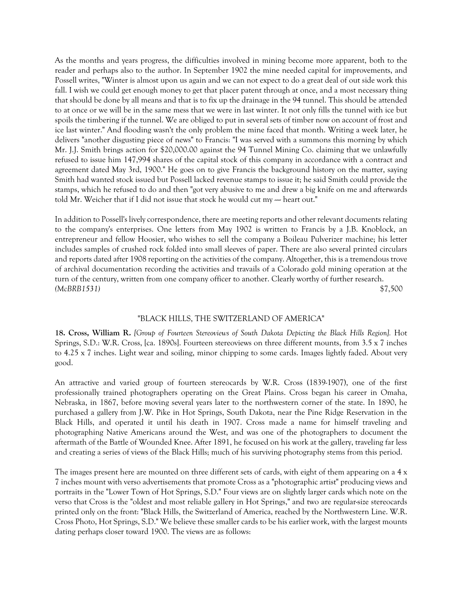As the months and years progress, the difficulties involved in mining become more apparent, both to the reader and perhaps also to the author. In September 1902 the mine needed capital for improvements, and Possell writes, "Winter is almost upon us again and we can not expect to do a great deal of out side work this fall. I wish we could get enough money to get that placer patent through at once, and a most necessary thing that should be done by all means and that is to fix up the drainage in the 94 tunnel. This should be attended to at once or we will be in the same mess that we were in last winter. It not only fills the tunnel with ice but spoils the timbering if the tunnel. We are obliged to put in several sets of timber now on account of frost and ice last winter." And flooding wasn't the only problem the mine faced that month. Writing a week later, he delivers "another disgusting piece of news" to Francis: "I was served with a summons this morning by which Mr. J.J. Smith brings action for \$20,000.00 against the 94 Tunnel Mining Co. claiming that we unlawfully refused to issue him 147,994 shares of the capital stock of this company in accordance with a contract and agreement dated May 3rd, 1900." He goes on to give Francis the background history on the matter, saying Smith had wanted stock issued but Possell lacked revenue stamps to issue it; he said Smith could provide the stamps, which he refused to do and then "got very abusive to me and drew a big knife on me and afterwards told Mr. Weicher that if I did not issue that stock he would cut my  $-$  heart out."

In addition to Possell's lively correspondence, there are meeting reports and other relevant documents relating to the company's enterprises. One letters from May 1902 is written to Francis by a J.B. Knoblock, an entrepreneur and fellow Hoosier, who wishes to sell the company a Boileau Pulverizer machine; his letter includes samples of crushed rock folded into small sleeves of paper. There are also several printed circulars and reports dated after 1908 reporting on the activities of the company. Altogether, this is a tremendous trove of archival documentation recording the activities and travails of a Colorado gold mining operation at the turn of the century, written from one company officer to another. Clearly worthy of further research. *(McBRB1531)* \$7,500

# "BLACK HILLS, THE SWITZERLAND OF AMERICA"

**18. Cross, William R.** *[Group of Fourteen Stereoviews of South Dakota Depicting the Black Hills Region].* Hot Springs, S.D.: W.R. Cross, [ca. 1890s]. Fourteen stereoviews on three different mounts, from 3.5 x 7 inches to 4.25 x 7 inches. Light wear and soiling, minor chipping to some cards. Images lightly faded. About very good.

An attractive and varied group of fourteen stereocards by W.R. Cross (1839-1907), one of the first professionally trained photographers operating on the Great Plains. Cross began his career in Omaha, Nebraska, in 1867, before moving several years later to the northwestern corner of the state. In 1890, he purchased a gallery from J.W. Pike in Hot Springs, South Dakota, near the Pine Ridge Reservation in the Black Hills, and operated it until his death in 1907. Cross made a name for himself traveling and photographing Native Americans around the West, and was one of the photographers to document the aftermath of the Battle of Wounded Knee. After 1891, he focused on his work at the gallery, traveling far less and creating a series of views of the Black Hills; much of his surviving photography stems from this period.

The images present here are mounted on three different sets of cards, with eight of them appearing on a 4 x 7 inches mount with verso advertisements that promote Cross as a "photographic artist" producing views and portraits in the "Lower Town of Hot Springs, S.D." Four views are on slightly larger cards which note on the verso that Cross is the "oldest and most reliable gallery in Hot Springs," and two are regular-size stereocards printed only on the front: "Black Hills, the Switzerland of America, reached by the Northwestern Line. W.R. Cross Photo, Hot Springs, S.D." We believe these smaller cards to be his earlier work, with the largest mounts dating perhaps closer toward 1900. The views are as follows: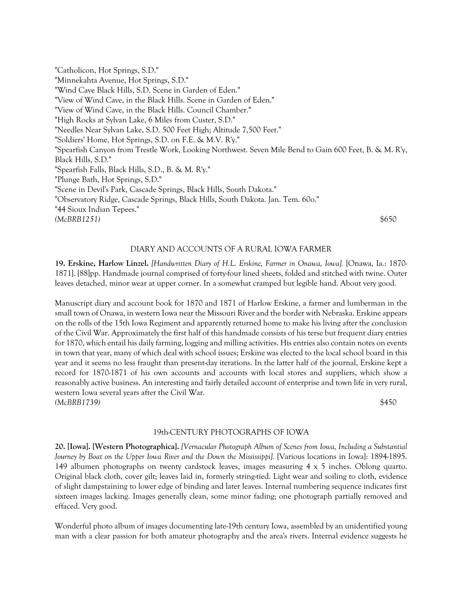"Catholicon, Hot Springs, S.D." "Minnekahta Avenue, Hot Springs, S.D." "Wind Cave Black Hills, S.D. Scene in Garden of Eden." "View of Wind Cave, in the Black Hills. Scene in Garden of Eden." "View of Wind Cave, in the Black Hills. Council Chamber." "High Rocks at Sylvan Lake, 6 Miles from Custer, S.D." "Needles Near Sylvan Lake, S.D. 500 Feet High; Altitude 7,500 Feet." "Soldiers' Home, Hot Springs, S.D. on F.E. & M.V. R'y." "Spearfish Canyon from Trestle Work, Looking Northwest. Seven Mile Bend to Gain 600 Feet, B. & M. R'y, Black Hills, S.D." "Spearfish Falls, Black Hills, S.D., B. & M. R'y." "Plunge Bath, Hot Springs, S.D." "Scene in Devil's Park, Cascade Springs, Black Hills, South Dakota." "Observatory Ridge, Cascade Springs, Black Hills, South Dakota. Jan. Tem. 60o." "44 Sioux Indian Tepees." *(McBRB1251)* \$650

# DIARY AND ACCOUNTS OF A RURAL IOWA FARMER

**19. Erskine, Harlow Linzel.** *[Handwritten Diary of H.L. Erskine, Farmer in Onawa, Iowa].* [Onawa, Ia.: 1870- 1871]. [88]pp. Handmade journal comprised of forty-four lined sheets, folded and stitched with twine. Outer leaves detached, minor wear at upper corner. In a somewhat cramped but legible hand. About very good.

Manuscript diary and account book for 1870 and 1871 of Harlow Erskine, a farmer and lumberman in the small town of Onawa, in western Iowa near the Missouri River and the border with Nebraska. Erskine appears on the rolls of the 15th Iowa Regiment and apparently returned home to make his living after the conclusion of the Civil War. Approximately the first half of this handmade consists of his terse but frequent diary entries for 1870, which entail his daily farming, logging and milling activities. His entries also contain notes on events in town that year, many of which deal with school issues; Erskine was elected to the local school board in this year and it seems no less fraught than present-day iterations. In the latter half of the journal, Erskine kept a record for 1870-1871 of his own accounts and accounts with local stores and suppliers, which show a reasonably active business. An interesting and fairly detailed account of enterprise and town life in very rural, western Iowa several years after the Civil War. *(McBRB1739)* \$450

# 19th-CENTURY PHOTOGRAPHS OF IOWA

**20. [Iowa]. [Western Photographica].** *[Vernacular Photograph Album of Scenes from Iowa, Including a Substantial Journey by Boat on the Upper Iowa River and the Down the Mississippi].* [Various locations in Iowa]: 1894-1895. 149 albumen photographs on twenty cardstock leaves, images measuring 4 x 5 inches. Oblong quarto. Original black cloth, cover gilt; leaves laid in, formerly string-tied. Light wear and soiling to cloth, evidence of slight dampstaining to lower edge of binding and later leaves. Internal numbering sequence indicates first sixteen images lacking. Images generally clean, some minor fading; one photograph partially removed and effaced. Very good.

Wonderful photo album of images documenting late-19th century Iowa, assembled by an unidentified young man with a clear passion for both amateur photography and the area's rivers. Internal evidence suggests he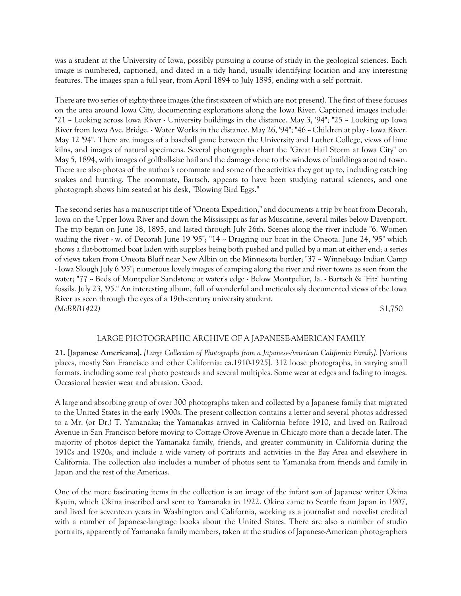was a student at the University of Iowa, possibly pursuing a course of study in the geological sciences. Each image is numbered, captioned, and dated in a tidy hand, usually identifying location and any interesting features. The images span a full year, from April 1894 to July 1895, ending with a self portrait.

There are two series of eighty-three images (the first sixteen of which are not present). The first of these focuses on the area around Iowa City, documenting explorations along the Iowa River. Captioned images include: "21  $\sim$  Looking across Iowa River - University buildings in the distance. May 3, '94"; "25  $\sim$  Looking up Iowa River from Iowa Ave. Bridge. - Water Works in the distance. May 26, '94"; "46 - Children at play - Iowa River. May 12 '94". There are images of a baseball game between the University and Luther College, views of lime kilns, and images of natural specimens. Several photographs chart the "Great Hail Storm at Iowa City" on May 5, 1894, with images of golfball-size hail and the damage done to the windows of buildings around town. There are also photos of the author's roommate and some of the activities they got up to, including catching snakes and hunting. The roommate, Bartsch, appears to have been studying natural sciences, and one photograph shows him seated at his desk, "Blowing Bird Eggs."

The second series has a manuscript title of "Oneota Expedition," and documents a trip by boat from Decorah, Iowa on the Upper Iowa River and down the Mississippi as far as Muscatine, several miles below Davenport. The trip began on June 18, 1895, and lasted through July 26th. Scenes along the river include "6. Women wading the river  $\cdot$  w. of Decorah June 19 '95"; "14  $\sim$  Dragging our boat in the Oneota. June 24, '95" which shows a flat-bottomed boat laden with supplies being both pushed and pulled by a man at either end; a series of views taken from Oneota Bluff near New Albin on the Minnesota border; "37 -- Winnebago Indian Camp - Iowa Slough July 6 '95"; numerous lovely images of camping along the river and river towns as seen from the water; "77 -- Beds of Montpeliar Sandstone at water's edge - Below Montpeliar, Ia. - Bartsch & 'Fitz' hunting fossils. July 23, '95." An interesting album, full of wonderful and meticulously documented views of the Iowa River as seen through the eyes of a 19th-century university student. *(McBRB1422)* \$1,750

#### LARGE PHOTOGRAPHIC ARCHIVE OF A JAPANESE-AMERICAN FAMILY

**21. [Japanese Americana].** *[Large Collection of Photographs from a Japanese-American California Family].* [Various places, mostly San Francisco and other California: ca.1910-1925]. 312 loose photographs, in varying small formats, including some real photo postcards and several multiples. Some wear at edges and fading to images. Occasional heavier wear and abrasion. Good.

A large and absorbing group of over 300 photographs taken and collected by a Japanese family that migrated to the United States in the early 1900s. The present collection contains a letter and several photos addressed to a Mr. (or Dr.) T. Yamanaka; the Yamanakas arrived in California before 1910, and lived on Railroad Avenue in San Francisco before moving to Cottage Grove Avenue in Chicago more than a decade later. The majority of photos depict the Yamanaka family, friends, and greater community in California during the 1910s and 1920s, and include a wide variety of portraits and activities in the Bay Area and elsewhere in California. The collection also includes a number of photos sent to Yamanaka from friends and family in Japan and the rest of the Americas.

One of the more fascinating items in the collection is an image of the infant son of Japanese writer Okina Kyuin, which Okina inscribed and sent to Yamanaka in 1922. Okina came to Seattle from Japan in 1907, and lived for seventeen years in Washington and California, working as a journalist and novelist credited with a number of Japanese-language books about the United States. There are also a number of studio portraits, apparently of Yamanaka family members, taken at the studios of Japanese-American photographers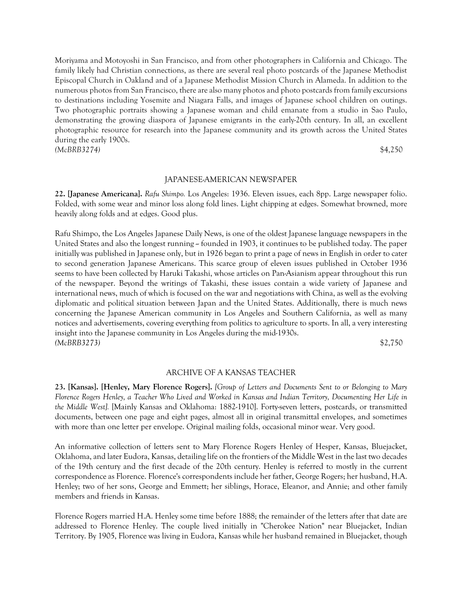Moriyama and Motoyoshi in San Francisco, and from other photographers in California and Chicago. The family likely had Christian connections, as there are several real photo postcards of the Japanese Methodist Episcopal Church in Oakland and of a Japanese Methodist Mission Church in Alameda. In addition to the numerous photos from San Francisco, there are also many photos and photo postcards from family excursions to destinations including Yosemite and Niagara Falls, and images of Japanese school children on outings. Two photographic portraits showing a Japanese woman and child emanate from a studio in Sao Paulo, demonstrating the growing diaspora of Japanese emigrants in the early-20th century. In all, an excellent photographic resource for research into the Japanese community and its growth across the United States during the early 1900s.

*(McBRB3274)* \$4,250

#### JAPANESE-AMERICAN NEWSPAPER

**22. [Japanese Americana].** *Rafu Shimpo.* Los Angeles: 1936. Eleven issues, each 8pp. Large newspaper folio. Folded, with some wear and minor loss along fold lines. Light chipping at edges. Somewhat browned, more heavily along folds and at edges. Good plus.

Rafu Shimpo, the Los Angeles Japanese Daily News, is one of the oldest Japanese language newspapers in the United States and also the longest running -- founded in 1903, it continues to be published today. The paper initially was published in Japanese only, but in 1926 began to print a page of news in English in order to cater to second generation Japanese Americans. This scarce group of eleven issues published in October 1936 seems to have been collected by Haruki Takashi, whose articles on Pan-Asianism appear throughout this run of the newspaper. Beyond the writings of Takashi, these issues contain a wide variety of Japanese and international news, much of which is focused on the war and negotiations with China, as well as the evolving diplomatic and political situation between Japan and the United States. Additionally, there is much news concerning the Japanese American community in Los Angeles and Southern California, as well as many notices and advertisements, covering everything from politics to agriculture to sports. In all, a very interesting insight into the Japanese community in Los Angeles during the mid-1930s. *(McBRB3273)* \$2,750

# ARCHIVE OF A KANSAS TEACHER

**23. [Kansas]. [Henley, Mary Florence Rogers].** *[Group of Letters and Documents Sent to or Belonging to Mary Florence Rogers Henley, a Teacher Who Lived and Worked in Kansas and Indian Territory, Documenting Her Life in the Middle West].* [Mainly Kansas and Oklahoma: 1882-1910]. Forty-seven letters, postcards, or transmitted documents, between one page and eight pages, almost all in original transmittal envelopes, and sometimes with more than one letter per envelope. Original mailing folds, occasional minor wear. Very good.

An informative collection of letters sent to Mary Florence Rogers Henley of Hesper, Kansas, Bluejacket, Oklahoma, and later Eudora, Kansas, detailing life on the frontiers of the Middle West in the last two decades of the 19th century and the first decade of the 20th century. Henley is referred to mostly in the current correspondence as Florence. Florence's correspondents include her father, George Rogers; her husband, H.A. Henley; two of her sons, George and Emmett; her siblings, Horace, Eleanor, and Annie; and other family members and friends in Kansas.

Florence Rogers married H.A. Henley some time before 1888; the remainder of the letters after that date are addressed to Florence Henley. The couple lived initially in "Cherokee Nation" near Bluejacket, Indian Territory. By 1905, Florence was living in Eudora, Kansas while her husband remained in Bluejacket, though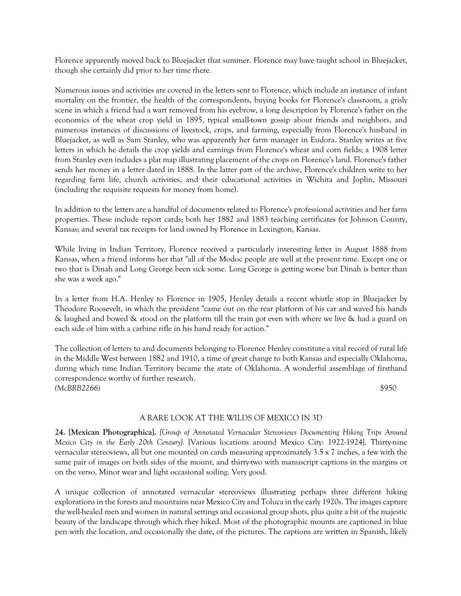Florence apparently moved back to Bluejacket that summer. Florence may have taught school in Bluejacket, though she certainly did prior to her time there.

Numerous issues and activities are covered in the letters sent to Florence, which include an instance of infant mortality on the frontier, the health of the correspondents, buying books for Florence's classroom, a grisly scene in which a friend had a wart removed from his eyebrow, a long description by Florence's father on the economics of the wheat crop yield in 1895, typical small-town gossip about friends and neighbors, and numerous instances of discussions of livestock, crops, and farming, especially from Florence's husband in Bluejacket, as well as Sam Stanley, who was apparently her farm manager in Eudora. Stanley writes at five letters in which he details the crop yields and earnings from Florence's wheat and corn fields; a 1908 letter from Stanley even includes a plat map illustrating placement of the crops on Florence's land. Florence's father sends her money in a letter dated in 1888. In the latter part of the archive, Florence's children write to her regarding farm life, church activities, and their educational activities in Wichita and Joplin, Missouri (including the requisite requests for money from home).

In addition to the letters are a handful of documents related to Florence's professional activities and her farm properties. These include report cards; both her 1882 and 1883 teaching certificates for Johnson County, Kansas; and several tax receipts for land owned by Florence in Lexington, Kansas.

While living in Indian Territory, Florence received a particularly interesting letter in August 1888 from Kansas, when a friend informs her that "all of the Modoc people are well at the present time. Except one or two that is Dinah and Long George been sick some. Long George is getting worse but Dinah is better than she was a week ago."

In a letter from H.A. Henley to Florence in 1905, Henley details a recent whistle stop in Bluejacket by Theodore Roosevelt, in which the president "came out on the rear platform of his car and waved his hands & laughed and bowed & stood on the platform till the train got even with where we live & had a guard on each side of him with a carbine rifle in his hand ready for action."

The collection of letters to and documents belonging to Florence Henley constitute a vital record of rural life in the Middle West between 1882 and 1910, a time of great change to both Kansas and especially Oklahoma, during which time Indian Territory became the state of Oklahoma. A wonderful assemblage of firsthand correspondence worthy of further research. *(McBRB2266)* \$950

# A RARE LOOK AT THE WILDS OF MEXICO IN 3D

**24. [Mexican Photographica].** *[Group of Annotated Vernacular Stereoviews Documenting Hiking Trips Around Mexico City in the Early 20th Century].* [Various locations around Mexico City: 1922-1924]. Thirty-nine vernacular stereoviews, all but one mounted on cards measuring approximately 3.5 x 7 inches, a few with the same pair of images on both sides of the mount, and thirty-two with manuscript captions in the margins or on the verso. Minor wear and light occasional soiling. Very good.

A unique collection of annotated vernacular stereoviews illustrating perhaps three different hiking explorations in the forests and mountains near Mexico City and Toluca in the early 1920s. The images capture the well-healed men and women in natural settings and occasional group shots, plus quite a bit of the majestic beauty of the landscape through which they hiked. Most of the photographic mounts are captioned in blue pen with the location, and occasionally the date, of the pictures. The captions are written in Spanish, likely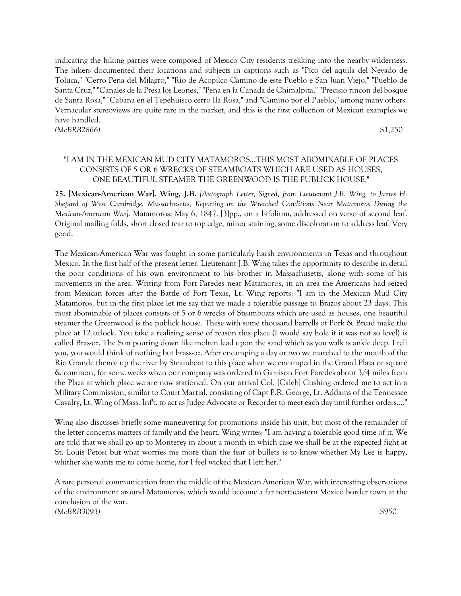indicating the hiking parties were composed of Mexico City residents trekking into the nearby wilderness. The hikers documented their locations and subjects in captions such as "Pico del aquila del Nevado de Toluca," "Cerro Pena del Milagro," "Rio de Acopilco Camino de este Pueblo e San Juan Viejo," "Pueblo de Santa Cruz," "Canales de la Presa los Leones," "Pena en la Canada de Chimalpita," "Precisio rincon del bosque de Santa Rosa," "Cabana en el Tepehuisco cerro Ila Rosa," and "Camino por el Pueblo," among many others. Vernacular stereoviews are quite rare in the market, and this is the first collection of Mexican examples we have handled. *(McBRB2866)* \$1,250

# "I AM IN THE MEXICAN MUD CITY MATAMOROS...THIS MOST ABOMINABLE OF PLACES CONSISTS OF 5 OR 6 WRECKS OF STEAMBOATS WHICH ARE USED AS HOUSES, ONE BEAUTIFUL STEAMER THE GREENWOOD IS THE PUBLICK HOUSE."

**25. [Mexican-American War]. Wing, J.B.** *[Autograph Letter, Signed, from Lieutenant J.B. Wing, to James H. Shepard of West Cambridge, Massachusetts, Reporting on the Wretched Conditions Near Matamoros During the Mexican-American War].* Matamoros: May 6, 1847. [3]pp., on a bifolium, addressed on verso of second leaf. Original mailing folds, short closed tear to top edge, minor staining, some discoloration to address leaf. Very good.

The Mexican-American War was fought in some particularly harsh environments in Texas and throughout Mexico. In the first half of the present letter, Lieutenant J.B. Wing takes the opportunity to describe in detail the poor conditions of his own environment to his brother in Massachusetts, along with some of his movements in the area. Writing from Fort Paredes near Matamoros, in an area the Americans had seized from Mexican forces after the Battle of Fort Texas, Lt. Wing reports: "I am in the Mexican Mud City Matamoros, but in the first place let me say that we made a tolerable passage to Brazos about 23 days. This most abominable of places consists of 5 or 6 wrecks of Steamboats which are used as houses, one beautiful steamer the Greenwood is the publick house. These with some thousand barrells of Pork & Bread make the place at 12 oclock. You take a realizing sense of reason this place (I would say hole if it was not so level) is called Bras-oz. The Sun pouring down like molten lead upon the sand which as you walk is ankle deep. I tell you, you would think of nothing but brass-oz. After encamping a day or two we marched to the mouth of the Rio Grande thence up the river by Steamboat to this place when we encamped in the Grand Plaza or square & common, for some weeks when our company was ordered to Garrison Fort Paredes about 3/4 miles from the Plaza at which place we are now stationed. On our arrival Col. [Caleb] Cushing ordered me to act in a Military Commission, similar to Court Martial, consisting of Capt P.R. George, Lt. Addams of the Tennessee Cavalry, Lt. Wing of Mass. Inf't. to act as Judge Advocate or Recorder to meet each day until further orders...."

Wing also discusses briefly some maneuvering for promotions inside his unit, but most of the remainder of the letter concerns matters of family and the heart. Wing writes: "I am having a tolerable good time of it. We are told that we shall go up to Monterey in about a month in which case we shall be at the expected fight at St. Louis Petosi but what worries me more than the fear of bullets is to know whether My Lee is happy, whither she wants me to come home, for I feel wicked that I left her."

A rare personal communication from the middle of the Mexican American War, with interesting observations of the environment around Matamoros, which would become a far northeastern Mexico border town at the conclusion of the war. *(McBRB3093)* \$950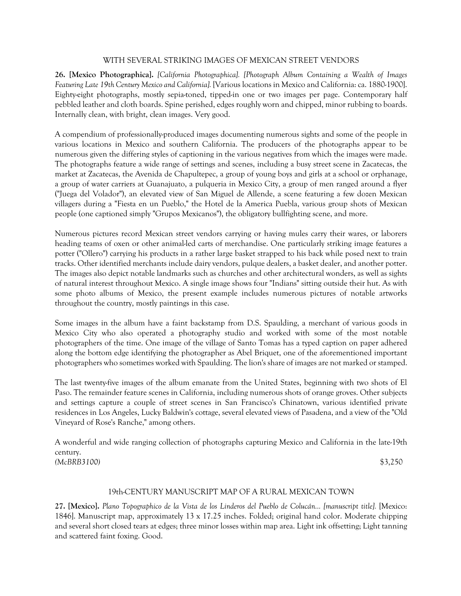# WITH SEVERAL STRIKING IMAGES OF MEXICAN STREET VENDORS

**26. [Mexico Photographica].** *[California Photographica]. [Photograph Album Containing a Wealth of Images Featuring Late 19th Century Mexico and California].* [Various locations in Mexico and California: ca. 1880-1900]. Eighty-eight photographs, mostly sepia-toned, tipped-in one or two images per page. Contemporary half pebbled leather and cloth boards. Spine perished, edges roughly worn and chipped, minor rubbing to boards. Internally clean, with bright, clean images. Very good.

A compendium of professionally-produced images documenting numerous sights and some of the people in various locations in Mexico and southern California. The producers of the photographs appear to be numerous given the differing styles of captioning in the various negatives from which the images were made. The photographs feature a wide range of settings and scenes, including a busy street scene in Zacatecas, the market at Zacatecas, the Avenida de Chapultepec, a group of young boys and girls at a school or orphanage, a group of water carriers at Guanajuato, a pulqueria in Mexico City, a group of men ranged around a flyer ("Juega del Volador"), an elevated view of San Miguel de Allende, a scene featuring a few dozen Mexican villagers during a "Fiesta en un Pueblo," the Hotel de la America Puebla, various group shots of Mexican people (one captioned simply "Grupos Mexicanos"), the obligatory bullfighting scene, and more.

Numerous pictures record Mexican street vendors carrying or having mules carry their wares, or laborers heading teams of oxen or other animal-led carts of merchandise. One particularly striking image features a potter ("Ollero") carrying his products in a rather large basket strapped to his back while posed next to train tracks. Other identified merchants include dairy vendors, pulque dealers, a basket dealer, and another potter. The images also depict notable landmarks such as churches and other architectural wonders, as well as sights of natural interest throughout Mexico. A single image shows four "Indians" sitting outside their hut. As with some photo albums of Mexico, the present example includes numerous pictures of notable artworks throughout the country, mostly paintings in this case.

Some images in the album have a faint backstamp from D.S. Spaulding, a merchant of various goods in Mexico City who also operated a photography studio and worked with some of the most notable photographers of the time. One image of the village of Santo Tomas has a typed caption on paper adhered along the bottom edge identifying the photographer as Abel Briquet, one of the aforementioned important photographers who sometimes worked with Spaulding. The lion's share of images are not marked or stamped.

The last twenty-five images of the album emanate from the United States, beginning with two shots of El Paso. The remainder feature scenes in California, including numerous shots of orange groves. Other subjects and settings capture a couple of street scenes in San Francisco's Chinatown, various identified private residences in Los Angeles, Lucky Baldwin's cottage, several elevated views of Pasadena, and a view of the "Old Vineyard of Rose's Ranche," among others.

A wonderful and wide ranging collection of photographs capturing Mexico and California in the late-19th century. *(McBRB3100)* \$3,250

# 19th-CENTURY MANUSCRIPT MAP OF A RURAL MEXICAN TOWN

**27. [Mexico].** *Plano Topographico de la Vista de los Linderos del Pueblo de Colucán... [manuscript title].* [Mexico: 1846]. Manuscript map, approximately 13 x 17.25 inches. Folded; original hand color. Moderate chipping and several short closed tears at edges; three minor losses within map area. Light ink offsetting; Light tanning and scattered faint foxing. Good.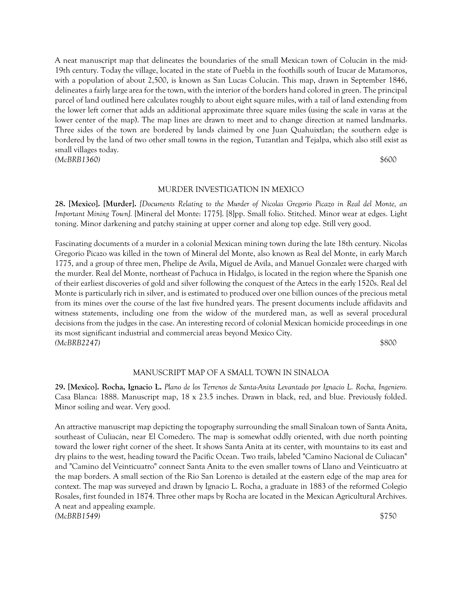A neat manuscript map that delineates the boundaries of the small Mexican town of Colucán in the mid-19th century. Today the village, located in the state of Puebla in the foothills south of Izucar de Matamoros, with a population of about 2,500, is known as San Lucas Colucán. This map, drawn in September 1846, delineates a fairly large area for the town, with the interior of the borders hand colored in green. The principal parcel of land outlined here calculates roughly to about eight square miles, with a tail of land extending from the lower left corner that adds an additional approximate three square miles (using the scale in varas at the lower center of the map). The map lines are drawn to meet and to change direction at named landmarks. Three sides of the town are bordered by lands claimed by one Juan Quahuixtlan; the southern edge is bordered by the land of two other small towns in the region, Tuzantlan and Tejalpa, which also still exist as small villages today. *(McBRB1360)* \$600

#### MURDER INVESTIGATION IN MEXICO

**28. [Mexico]. [Murder].** *[Documents Relating to the Murder of Nicolas Gregorio Picazo in Real del Monte, an Important Mining Town].* [Mineral del Monte: 1775]. [8]pp. Small folio. Stitched. Minor wear at edges. Light toning. Minor darkening and patchy staining at upper corner and along top edge. Still very good.

Fascinating documents of a murder in a colonial Mexican mining town during the late 18th century. Nicolas Gregorio Picazo was killed in the town of Mineral del Monte, also known as Real del Monte, in early March 1775, and a group of three men, Phelipe de Avila, Miguel de Avila, and Manuel Gonzalez were charged with the murder. Real del Monte, northeast of Pachuca in Hidalgo, is located in the region where the Spanish one of their earliest discoveries of gold and silver following the conquest of the Aztecs in the early 1520s. Real del Monte is particularly rich in silver, and is estimated to produced over one billion ounces of the precious metal from its mines over the course of the last five hundred years. The present documents include affidavits and witness statements, including one from the widow of the murdered man, as well as several procedural decisions from the judges in the case. An interesting record of colonial Mexican homicide proceedings in one its most significant industrial and commercial areas beyond Mexico City. *(McBRB2247)* \$800

#### MANUSCRIPT MAP OF A SMALL TOWN IN SINALOA

**29. [Mexico]. Rocha, Ignacio L.** *Plano de los Terrenos de Santa-Anita Levantado por Ignacio L. Rocha, Ingeniero.*  Casa Blanca: 1888. Manuscript map, 18 x 23.5 inches. Drawn in black, red, and blue. Previously folded. Minor soiling and wear. Very good.

An attractive manuscript map depicting the topography surrounding the small Sinaloan town of Santa Anita, southeast of Culiacán, near El Comedero. The map is somewhat oddly oriented, with due north pointing toward the lower right corner of the sheet. It shows Santa Anita at its center, with mountains to its east and dry plains to the west, heading toward the Pacific Ocean. Two trails, labeled "Camino Nacional de Culiacan" and "Camino del Veinticuatro" connect Santa Anita to the even smaller towns of Llano and Veinticuatro at the map borders. A small section of the Rio San Lorenzo is detailed at the eastern edge of the map area for context. The map was surveyed and drawn by Ignacio L. Rocha, a graduate in 1883 of the reformed Colegio Rosales, first founded in 1874. Three other maps by Rocha are located in the Mexican Agricultural Archives. A neat and appealing example. *(McBRB1549)* \$750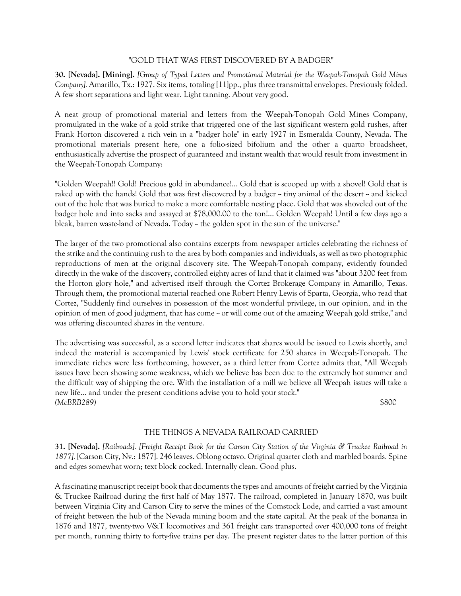### "GOLD THAT WAS FIRST DISCOVERED BY A BADGER"

**30. [Nevada]. [Mining].** *[Group of Typed Letters and Promotional Material for the Weepah-Tonopah Gold Mines Company].* Amarillo, Tx.: 1927. Six items, totaling [11]pp., plus three transmittal envelopes. Previously folded. A few short separations and light wear. Light tanning. About very good.

A neat group of promotional material and letters from the Weepah-Tonopah Gold Mines Company, promulgated in the wake of a gold strike that triggered one of the last significant western gold rushes, after Frank Horton discovered a rich vein in a "badger hole" in early 1927 in Esmeralda County, Nevada. The promotional materials present here, one a folio-sized bifolium and the other a quarto broadsheet, enthusiastically advertise the prospect of guaranteed and instant wealth that would result from investment in the Weepah-Tonopah Company:

"Golden Weepah!! Gold! Precious gold in abundance!... Gold that is scooped up with a shovel! Gold that is raked up with the hands! Gold that was first discovered by a badger  $\sim$  tiny animal of the desert  $\sim$  and kicked out of the hole that was buried to make a more comfortable nesting place. Gold that was shoveled out of the badger hole and into sacks and assayed at \$78,000.00 to the ton!... Golden Weepah! Until a few days ago a bleak, barren waste-land of Nevada. Today  $\sim$  the golden spot in the sun of the universe."

The larger of the two promotional also contains excerpts from newspaper articles celebrating the richness of the strike and the continuing rush to the area by both companies and individuals, as well as two photographic reproductions of men at the original discovery site. The Weepah-Tonopah company, evidently founded directly in the wake of the discovery, controlled eighty acres of land that it claimed was "about 3200 feet from the Horton glory hole," and advertised itself through the Cortez Brokerage Company in Amarillo, Texas. Through them, the promotional material reached one Robert Henry Lewis of Sparta, Georgia, who read that Cortez, "Suddenly find ourselves in possession of the most wonderful privilege, in our opinion, and in the opinion of men of good judgment, that has come  $\sim$  or will come out of the amazing Weepah gold strike," and was offering discounted shares in the venture.

The advertising was successful, as a second letter indicates that shares would be issued to Lewis shortly, and indeed the material is accompanied by Lewis' stock certificate for 250 shares in Weepah-Tonopah. The immediate riches were less forthcoming, however, as a third letter from Cortez admits that, "All Weepah issues have been showing some weakness, which we believe has been due to the extremely hot summer and the difficult way of shipping the ore. With the installation of a mill we believe all Weepah issues will take a new life... and under the present conditions advise you to hold your stock." *(McBRB289)* \$800

# THE THINGS A NEVADA RAILROAD CARRIED

**31. [Nevada].** *[Railroads]. [Freight Receipt Book for the Carson City Station of the Virginia & Truckee Railroad in 1877].* [Carson City, Nv.: 1877]. 246 leaves. Oblong octavo. Original quarter cloth and marbled boards. Spine and edges somewhat worn; text block cocked. Internally clean. Good plus.

A fascinating manuscript receipt book that documents the types and amounts of freight carried by the Virginia & Truckee Railroad during the first half of May 1877. The railroad, completed in January 1870, was built between Virginia City and Carson City to serve the mines of the Comstock Lode, and carried a vast amount of freight between the hub of the Nevada mining boom and the state capital. At the peak of the bonanza in 1876 and 1877, twenty-two V&T locomotives and 361 freight cars transported over 400,000 tons of freight per month, running thirty to forty-five trains per day. The present register dates to the latter portion of this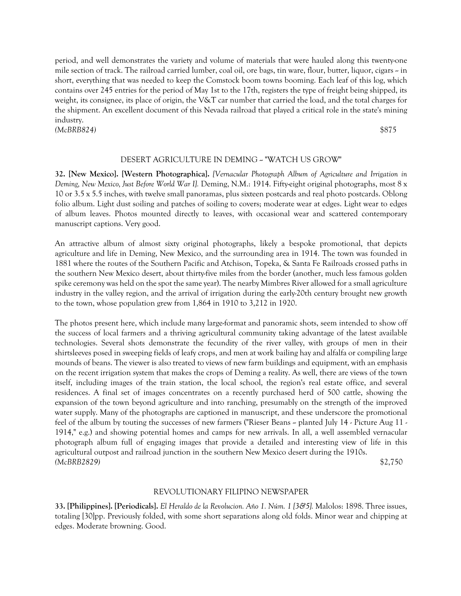period, and well demonstrates the variety and volume of materials that were hauled along this twenty-one mile section of track. The railroad carried lumber, coal oil, ore bags, tin ware, flour, butter, liquor, cigars  $\sim$  in short, everything that was needed to keep the Comstock boom towns booming. Each leaf of this log, which contains over 245 entries for the period of May 1st to the 17th, registers the type of freight being shipped, its weight, its consignee, its place of origin, the V&T car number that carried the load, and the total charges for the shipment. An excellent document of this Nevada railroad that played a critical role in the state's mining industry.

*(McBRB824)* \$875

#### DESERT AGRICULTURE IN DEMING -- "WATCH US GROW"

**32. [New Mexico]. [Western Photographica].** *[Vernacular Photograph Album of Agriculture and Irrigation in Deming, New Mexico, Just Before World War I].* Deming, N.M.: 1914. Fifty-eight original photographs, most 8 x 10 or 3.5 x 5.5 inches, with twelve small panoramas, plus sixteen postcards and real photo postcards. Oblong folio album. Light dust soiling and patches of soiling to covers; moderate wear at edges. Light wear to edges of album leaves. Photos mounted directly to leaves, with occasional wear and scattered contemporary manuscript captions. Very good.

An attractive album of almost sixty original photographs, likely a bespoke promotional, that depicts agriculture and life in Deming, New Mexico, and the surrounding area in 1914. The town was founded in 1881 where the routes of the Southern Pacific and Atchison, Topeka, & Santa Fe Railroads crossed paths in the southern New Mexico desert, about thirty-five miles from the border (another, much less famous golden spike ceremony was held on the spot the same year). The nearby Mimbres River allowed for a small agriculture industry in the valley region, and the arrival of irrigation during the early-20th century brought new growth to the town, whose population grew from 1,864 in 1910 to 3,212 in 1920.

The photos present here, which include many large-format and panoramic shots, seem intended to show off the success of local farmers and a thriving agricultural community taking advantage of the latest available technologies. Several shots demonstrate the fecundity of the river valley, with groups of men in their shirtsleeves posed in sweeping fields of leafy crops, and men at work bailing hay and alfalfa or compiling large mounds of beans. The viewer is also treated to views of new farm buildings and equipment, with an emphasis on the recent irrigation system that makes the crops of Deming a reality. As well, there are views of the town itself, including images of the train station, the local school, the region's real estate office, and several residences. A final set of images concentrates on a recently purchased herd of 500 cattle, showing the expansion of the town beyond agriculture and into ranching, presumably on the strength of the improved water supply. Many of the photographs are captioned in manuscript, and these underscore the promotional feel of the album by touting the successes of new farmers ("Rieser Beans -- planted July 14 - Picture Aug 11 - 1914," e.g.) and showing potential homes and camps for new arrivals. In all, a well assembled vernacular photograph album full of engaging images that provide a detailed and interesting view of life in this agricultural outpost and railroad junction in the southern New Mexico desert during the 1910s. *(McBRB2829)* \$2,750

#### REVOLUTIONARY FILIPINO NEWSPAPER

**33. [Philippines]. [Periodicals].** *El Heraldo de la Revolucion. Año 1. Núm. 1 [3&5].* Malolos: 1898. Three issues, totaling [30]pp. Previously folded, with some short separations along old folds. Minor wear and chipping at edges. Moderate browning. Good.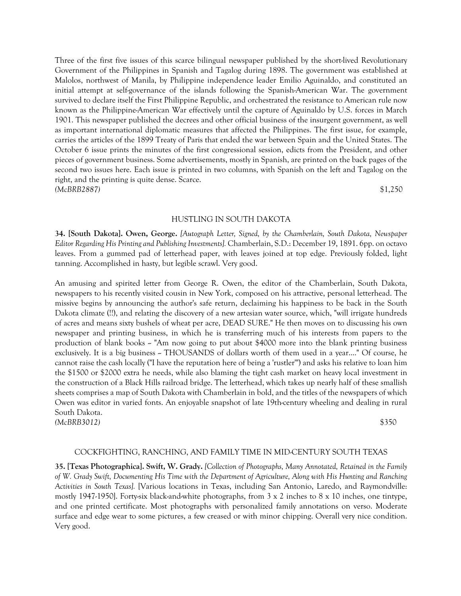Three of the first five issues of this scarce bilingual newspaper published by the short-lived Revolutionary Government of the Philippines in Spanish and Tagalog during 1898. The government was established at Malolos, northwest of Manila, by Philippine independence leader Emilio Aguinaldo, and constituted an initial attempt at self-governance of the islands following the Spanish-American War. The government survived to declare itself the First Philippine Republic, and orchestrated the resistance to American rule now known as the Philippine-American War effectively until the capture of Aguinaldo by U.S. forces in March 1901. This newspaper published the decrees and other official business of the insurgent government, as well as important international diplomatic measures that affected the Philippines. The first issue, for example, carries the articles of the 1899 Treaty of Paris that ended the war between Spain and the United States. The October 6 issue prints the minutes of the first congressional session, edicts from the President, and other pieces of government business. Some advertisements, mostly in Spanish, are printed on the back pages of the second two issues here. Each issue is printed in two columns, with Spanish on the left and Tagalog on the right, and the printing is quite dense. Scarce. *(McBRB2887)* \$1,250

#### HUSTLING IN SOUTH DAKOTA

**34. [South Dakota]. Owen, George.** *[Autograph Letter, Signed, by the Chamberlain, South Dakota, Newspaper Editor Regarding His Printing and Publishing Investments].* Chamberlain, S.D.: December 19, 1891. 6pp. on octavo leaves. From a gummed pad of letterhead paper, with leaves joined at top edge. Previously folded, light tanning. Accomplished in hasty, but legible scrawl. Very good.

An amusing and spirited letter from George R. Owen, the editor of the Chamberlain, South Dakota, newspapers to his recently visited cousin in New York, composed on his attractive, personal letterhead. The missive begins by announcing the author's safe return, declaiming his happiness to be back in the South Dakota climate (!!), and relating the discovery of a new artesian water source, which, "will irrigate hundreds of acres and means sixty bushels of wheat per acre, DEAD SURE." He then moves on to discussing his own newspaper and printing business, in which he is transferring much of his interests from papers to the production of blank books  $\sim$  "Am now going to put about \$4000 more into the blank printing business exclusively. It is a big business ~ THOUSANDS of dollars worth of them used in a year...." Of course, he cannot raise the cash locally ("I have the reputation here of being a 'rustler'") and asks his relative to loan him the \$1500 or \$2000 extra he needs, while also blaming the tight cash market on heavy local investment in the construction of a Black Hills railroad bridge. The letterhead, which takes up nearly half of these smallish sheets comprises a map of South Dakota with Chamberlain in bold, and the titles of the newspapers of which Owen was editor in varied fonts. An enjoyable snapshot of late 19th-century wheeling and dealing in rural South Dakota. *(McBRB3012)* \$350

#### COCKFIGHTING, RANCHING, AND FAMILY TIME IN MID-CENTURY SOUTH TEXAS

**35. [Texas Photographica]. Swift, W. Grady.** *[Collection of Photographs, Many Annotated, Retained in the Family of W. Grady Swift, Documenting His Time with the Department of Agriculture, Along with His Hunting and Ranching Activities in South Texas].* [Various locations in Texas, including San Antonio, Laredo, and Raymondville: mostly 1947-1950]. Forty-six black-and-white photographs, from  $3 \times 2$  inches to  $8 \times 10$  inches, one tintype, and one printed certificate. Most photographs with personalized family annotations on verso. Moderate surface and edge wear to some pictures, a few creased or with minor chipping. Overall very nice condition. Very good.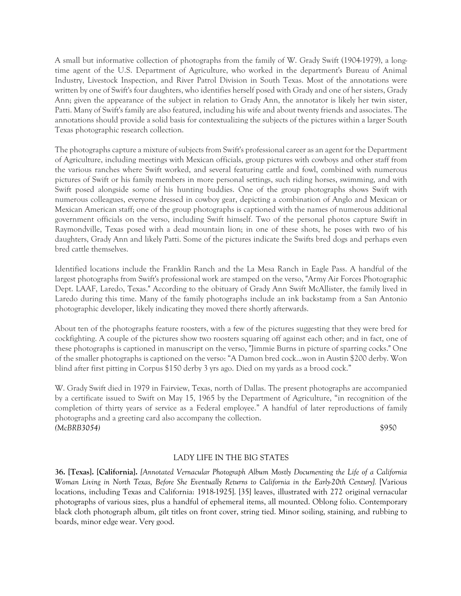A small but informative collection of photographs from the family of W. Grady Swift (1904-1979), a longtime agent of the U.S. Department of Agriculture, who worked in the department's Bureau of Animal Industry, Livestock Inspection, and River Patrol Division in South Texas. Most of the annotations were written by one of Swift's four daughters, who identifies herself posed with Grady and one of her sisters, Grady Ann; given the appearance of the subject in relation to Grady Ann, the annotator is likely her twin sister, Patti. Many of Swift's family are also featured, including his wife and about twenty friends and associates. The annotations should provide a solid basis for contextualizing the subjects of the pictures within a larger South Texas photographic research collection.

The photographs capture a mixture of subjects from Swift's professional career as an agent for the Department of Agriculture, including meetings with Mexican officials, group pictures with cowboys and other staff from the various ranches where Swift worked, and several featuring cattle and fowl, combined with numerous pictures of Swift or his family members in more personal settings, such riding horses, swimming, and with Swift posed alongside some of his hunting buddies. One of the group photographs shows Swift with numerous colleagues, everyone dressed in cowboy gear, depicting a combination of Anglo and Mexican or Mexican American staff; one of the group photographs is captioned with the names of numerous additional government officials on the verso, including Swift himself. Two of the personal photos capture Swift in Raymondville, Texas posed with a dead mountain lion; in one of these shots, he poses with two of his daughters, Grady Ann and likely Patti. Some of the pictures indicate the Swifts bred dogs and perhaps even bred cattle themselves.

Identified locations include the Franklin Ranch and the La Mesa Ranch in Eagle Pass. A handful of the largest photographs from Swift's professional work are stamped on the verso, "Army Air Forces Photographic Dept. LAAF, Laredo, Texas." According to the obituary of Grady Ann Swift McAllister, the family lived in Laredo during this time. Many of the family photographs include an ink backstamp from a San Antonio photographic developer, likely indicating they moved there shortly afterwards.

About ten of the photographs feature roosters, with a few of the pictures suggesting that they were bred for cockfighting. A couple of the pictures show two roosters squaring off against each other; and in fact, one of these photographs is captioned in manuscript on the verso, "Jimmie Burns in picture of sparring cocks." One of the smaller photographs is captioned on the verso: "A Damon bred cock…won in Austin \$200 derby. Won blind after first pitting in Corpus \$150 derby 3 yrs ago. Died on my yards as a brood cock."

W. Grady Swift died in 1979 in Fairview, Texas, north of Dallas. The present photographs are accompanied by a certificate issued to Swift on May 15, 1965 by the Department of Agriculture, "in recognition of the completion of thirty years of service as a Federal employee." A handful of later reproductions of family photographs and a greeting card also accompany the collection. *(McBRB3054)* \$950

# LADY LIFE IN THE BIG STATES

**36. [Texas]. [California].** *[Annotated Vernacular Photograph Album Mostly Documenting the Life of a California Woman Living in North Texas, Before She Eventually Returns to California in the Early-20th Century].* [Various locations, including Texas and California: 1918-1925]. [35] leaves, illustrated with 272 original vernacular photographs of various sizes, plus a handful of ephemeral items, all mounted. Oblong folio. Contemporary black cloth photograph album, gilt titles on front cover, string tied. Minor soiling, staining, and rubbing to boards, minor edge wear. Very good.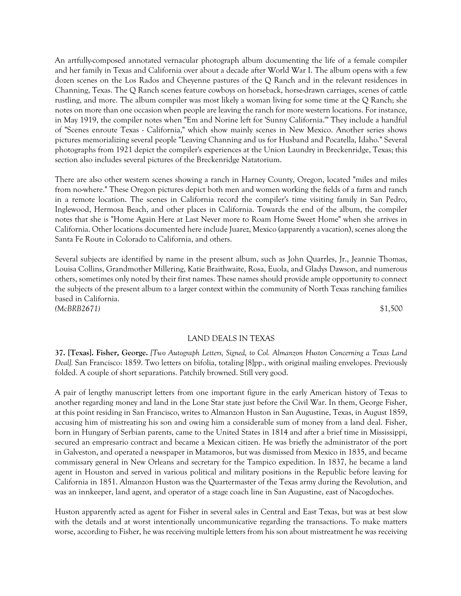An artfully-composed annotated vernacular photograph album documenting the life of a female compiler and her family in Texas and California over about a decade after World War I. The album opens with a few dozen scenes on the Los Rados and Cheyenne pastures of the Q Ranch and in the relevant residences in Channing, Texas. The Q Ranch scenes feature cowboys on horseback, horse-drawn carriages, scenes of cattle rustling, and more. The album compiler was most likely a woman living for some time at the Q Ranch; she notes on more than one occasion when people are leaving the ranch for more western locations. For instance, in May 1919, the compiler notes when "Em and Norine left for 'Sunny California.'" They include a handful of "Scenes enroute Texas - California," which show mainly scenes in New Mexico. Another series shows pictures memorializing several people "Leaving Channing and us for Husband and Pocatella, Idaho." Several photographs from 1921 depict the compiler's experiences at the Union Laundry in Breckenridge, Texas; this section also includes several pictures of the Breckenridge Natatorium.

There are also other western scenes showing a ranch in Harney County, Oregon, located "miles and miles from no-where." These Oregon pictures depict both men and women working the fields of a farm and ranch in a remote location. The scenes in California record the compiler's time visiting family in San Pedro, Inglewood, Hermosa Beach, and other places in California. Towards the end of the album, the compiler notes that she is "Home Again Here at Last Never more to Roam Home Sweet Home" when she arrives in California. Other locations documented here include Juarez, Mexico (apparently a vacation), scenes along the Santa Fe Route in Colorado to California, and others.

Several subjects are identified by name in the present album, such as John Quarrles, Jr., Jeannie Thomas, Louisa Collins, Grandmother Millering, Katie Braithwaite, Rosa, Euola, and Gladys Dawson, and numerous others, sometimes only noted by their first names. These names should provide ample opportunity to connect the subjects of the present album to a larger context within the community of North Texas ranching families based in California. *(McBRB2671)* \$1,500

#### LAND DEALS IN TEXAS

**37. [Texas]. Fisher, George.** *[Two Autograph Letters, Signed, to Col. Almanzon Huston Concerning a Texas Land Deal].* San Francisco: 1859. Two letters on bifolia, totaling [8]pp., with original mailing envelopes. Previously folded. A couple of short separations. Patchily browned. Still very good.

A pair of lengthy manuscript letters from one important figure in the early American history of Texas to another regarding money and land in the Lone Star state just before the Civil War. In them, George Fisher, at this point residing in San Francisco, writes to Almanzon Huston in San Augustine, Texas, in August 1859, accusing him of mistreating his son and owing him a considerable sum of money from a land deal. Fisher, born in Hungary of Serbian parents, came to the United States in 1814 and after a brief time in Mississippi, secured an empresario contract and became a Mexican citizen. He was briefly the administrator of the port in Galveston, and operated a newspaper in Matamoros, but was dismissed from Mexico in 1835, and became commissary general in New Orleans and secretary for the Tampico expedition. In 1837, he became a land agent in Houston and served in various political and military positions in the Republic before leaving for California in 1851. Almanzon Huston was the Quartermaster of the Texas army during the Revolution, and was an innkeeper, land agent, and operator of a stage coach line in San Augustine, east of Nacogdoches.

Huston apparently acted as agent for Fisher in several sales in Central and East Texas, but was at best slow with the details and at worst intentionally uncommunicative regarding the transactions. To make matters worse, according to Fisher, he was receiving multiple letters from his son about mistreatment he was receiving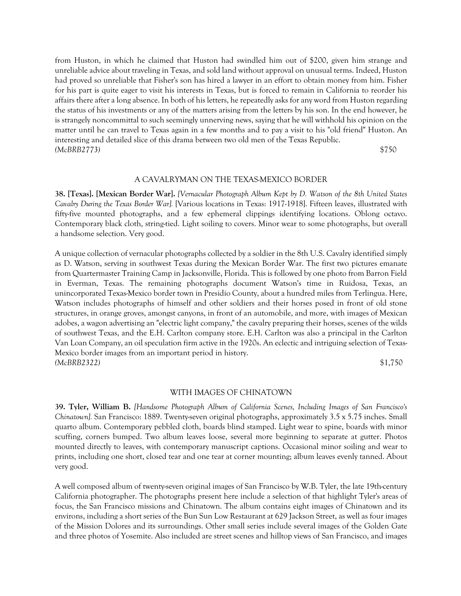from Huston, in which he claimed that Huston had swindled him out of \$200, given him strange and unreliable advice about traveling in Texas, and sold land without approval on unusual terms. Indeed, Huston had proved so unreliable that Fisher's son has hired a lawyer in an effort to obtain money from him. Fisher for his part is quite eager to visit his interests in Texas, but is forced to remain in California to reorder his affairs there after a long absence. In both of his letters, he repeatedly asks for any word from Huston regarding the status of his investments or any of the matters arising from the letters by his son. In the end however, he is strangely noncommittal to such seemingly unnerving news, saying that he will withhold his opinion on the matter until he can travel to Texas again in a few months and to pay a visit to his "old friend" Huston. An interesting and detailed slice of this drama between two old men of the Texas Republic. *(McBRB2773)* \$750

#### A CAVALRYMAN ON THE TEXAS-MEXICO BORDER

**38. [Texas]. [Mexican Border War].** *[Vernacular Photograph Album Kept by D. Watson of the 8th United States Cavalry During the Texas Border War].* [Various locations in Texas: 1917-1918]. Fifteen leaves, illustrated with fifty-five mounted photographs, and a few ephemeral clippings identifying locations. Oblong octavo. Contemporary black cloth, string-tied. Light soiling to covers. Minor wear to some photographs, but overall a handsome selection. Very good.

A unique collection of vernacular photographs collected by a soldier in the 8th U.S. Cavalry identified simply as D. Watson, serving in southwest Texas during the Mexican Border War. The first two pictures emanate from Quartermaster Training Camp in Jacksonville, Florida. This is followed by one photo from Barron Field in Everman, Texas. The remaining photographs document Watson's time in Ruidosa, Texas, an unincorporated Texas-Mexico border town in Presidio County, about a hundred miles from Terlingua. Here, Watson includes photographs of himself and other soldiers and their horses posed in front of old stone structures, in orange groves, amongst canyons, in front of an automobile, and more, with images of Mexican adobes, a wagon advertising an "electric light company," the cavalry preparing their horses, scenes of the wilds of southwest Texas, and the E.H. Carlton company store. E.H. Carlton was also a principal in the Carlton Van Loan Company, an oil speculation firm active in the 1920s. An eclectic and intriguing selection of Texas-Mexico border images from an important period in history. *(McBRB2322)* \$1,750

#### WITH IMAGES OF CHINATOWN

**39. Tyler, William B.** *[Handsome Photograph Album of California Scenes, Including Images of San Francisco's Chinatown].* San Francisco: 1889. Twenty-seven original photographs, approximately 3.5 x 5.75 inches. Small quarto album. Contemporary pebbled cloth, boards blind stamped. Light wear to spine, boards with minor scuffing, corners bumped. Two album leaves loose, several more beginning to separate at gutter. Photos mounted directly to leaves, with contemporary manuscript captions. Occasional minor soiling and wear to prints, including one short, closed tear and one tear at corner mounting; album leaves evenly tanned. About very good.

A well composed album of twenty-seven original images of San Francisco by W.B. Tyler, the late 19th-century California photographer. The photographs present here include a selection of that highlight Tyler's areas of focus, the San Francisco missions and Chinatown. The album contains eight images of Chinatown and its environs, including a short series of the Bun Sun Low Restaurant at 629 Jackson Street, as well as four images of the Mission Dolores and its surroundings. Other small series include several images of the Golden Gate and three photos of Yosemite. Also included are street scenes and hilltop views of San Francisco, and images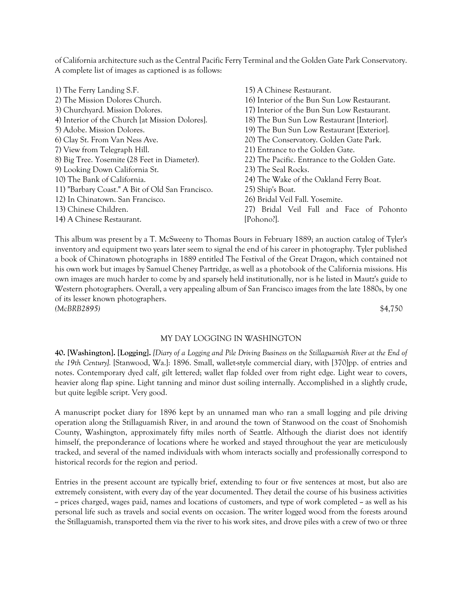of California architecture such as the Central Pacific Ferry Terminal and the Golden Gate Park Conservatory. A complete list of images as captioned is as follows:

- 1) The Ferry Landing S.F. 2) The Mission Dolores Church. 3) Churchyard. Mission Dolores. 4) Interior of the Church [at Mission Dolores]. 5) Adobe. Mission Dolores. 6) Clay St. From Van Ness Ave. 7) View from Telegraph Hill. 8) Big Tree. Yosemite (28 Feet in Diameter). 9) Looking Down California St. 10) The Bank of California. 11) "Barbary Coast." A Bit of Old San Francisco. 12) In Chinatown. San Francisco. 13) Chinese Children. 14) A Chinese Restaurant. [Pohono?].
	- 15) A Chinese Restaurant. 16) Interior of the Bun Sun Low Restaurant. 17) Interior of the Bun Sun Low Restaurant. 18) The Bun Sun Low Restaurant [Interior]. 19) The Bun Sun Low Restaurant [Exterior]. 20) The Conservatory. Golden Gate Park. 21) Entrance to the Golden Gate. 22) The Pacific. Entrance to the Golden Gate. 23) The Seal Rocks. 24) The Wake of the Oakland Ferry Boat. 25) Ship's Boat. 26) Bridal Veil Fall. Yosemite. 27) Bridal Veil Fall and Face of Pohonto

This album was present by a T. McSweeny to Thomas Bours in February 1889; an auction catalog of Tyler's inventory and equipment two years later seem to signal the end of his career in photography. Tyler published a book of Chinatown photographs in 1889 entitled The Festival of the Great Dragon, which contained not his own work but images by Samuel Cheney Partridge, as well as a photobook of the California missions. His own images are much harder to come by and sparsely held institutionally, nor is he listed in Mautz's guide to Western photographers. Overall, a very appealing album of San Francisco images from the late 1880s, by one of its lesser known photographers. *(McBRB2895)* \$4,750

#### MY DAY LOGGING IN WASHINGTON

**40. [Washington]. [Logging].** *[Diary of a Logging and Pile Driving Business on the Stillaguamish River at the End of the 19th Century].* [Stanwood, Wa.]: 1896. Small, wallet-style commercial diary, with [370]pp. of entries and notes. Contemporary dyed calf, gilt lettered; wallet flap folded over from right edge. Light wear to covers, heavier along flap spine. Light tanning and minor dust soiling internally. Accomplished in a slightly crude, but quite legible script. Very good.

A manuscript pocket diary for 1896 kept by an unnamed man who ran a small logging and pile driving operation along the Stillaguamish River, in and around the town of Stanwood on the coast of Snohomish County, Washington, approximately fifty miles north of Seattle. Although the diarist does not identify himself, the preponderance of locations where he worked and stayed throughout the year are meticulously tracked, and several of the named individuals with whom interacts socially and professionally correspond to historical records for the region and period.

Entries in the present account are typically brief, extending to four or five sentences at most, but also are extremely consistent, with every day of the year documented. They detail the course of his business activities  $\sim$  prices charged, wages paid, names and locations of customers, and type of work completed  $\sim$  as well as his personal life such as travels and social events on occasion. The writer logged wood from the forests around the Stillaguamish, transported them via the river to his work sites, and drove piles with a crew of two or three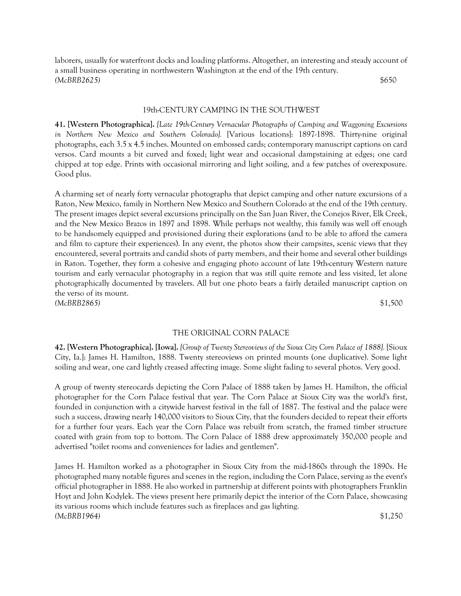laborers, usually for waterfront docks and loading platforms. Altogether, an interesting and steady account of a small business operating in northwestern Washington at the end of the 19th century. *(McBRB2625)* \$650

#### 19th-CENTURY CAMPING IN THE SOUTHWEST

**41. [Western Photographica].** *[Late 19th-Century Vernacular Photographs of Camping and Waggoning Excursions in Northern New Mexico and Southern Colorado].* [Various locations]: 1897-1898. Thirty-nine original photographs, each 3.5 x 4.5 inches. Mounted on embossed cards; contemporary manuscript captions on card versos. Card mounts a bit curved and foxed; light wear and occasional dampstaining at edges; one card chipped at top edge. Prints with occasional mirroring and light soiling, and a few patches of overexposure. Good plus.

A charming set of nearly forty vernacular photographs that depict camping and other nature excursions of a Raton, New Mexico, family in Northern New Mexico and Southern Colorado at the end of the 19th century. The present images depict several excursions principally on the San Juan River, the Conejos River, Elk Creek, and the New Mexico Brazos in 1897 and 1898. While perhaps not wealthy, this family was well off enough to be handsomely equipped and provisioned during their explorations (and to be able to afford the camera and film to capture their experiences). In any event, the photos show their campsites, scenic views that they encountered, several portraits and candid shots of party members, and their home and several other buildings in Raton. Together, they form a cohesive and engaging photo account of late 19th-century Western nature tourism and early vernacular photography in a region that was still quite remote and less visited, let alone photographically documented by travelers. All but one photo bears a fairly detailed manuscript caption on the verso of its mount. *(McBRB2865)* \$1,500

#### THE ORIGINAL CORN PALACE

**42. [Western Photographica]. [Iowa].** *[Group of Twenty Stereoviews of the Sioux City Corn Palace of 1888].* [Sioux City, Ia.]: James H. Hamilton, 1888. Twenty stereoviews on printed mounts (one duplicative). Some light soiling and wear, one card lightly creased affecting image. Some slight fading to several photos. Very good.

A group of twenty stereocards depicting the Corn Palace of 1888 taken by James H. Hamilton, the official photographer for the Corn Palace festival that year. The Corn Palace at Sioux City was the world's first, founded in conjunction with a citywide harvest festival in the fall of 1887. The festival and the palace were such a success, drawing nearly 140,000 visitors to Sioux City, that the founders decided to repeat their efforts for a further four years. Each year the Corn Palace was rebuilt from scratch, the framed timber structure coated with grain from top to bottom. The Corn Palace of 1888 drew approximately 350,000 people and advertised "toilet rooms and conveniences for ladies and gentlemen".

James H. Hamilton worked as a photographer in Sioux City from the mid-1860s through the 1890s. He photographed many notable figures and scenes in the region, including the Corn Palace, serving as the event's official photographer in 1888. He also worked in partnership at different points with photographers Franklin Hoyt and John Kodylek. The views present here primarily depict the interior of the Corn Palace, showcasing its various rooms which include features such as fireplaces and gas lighting. *(McBRB1964)* \$1,250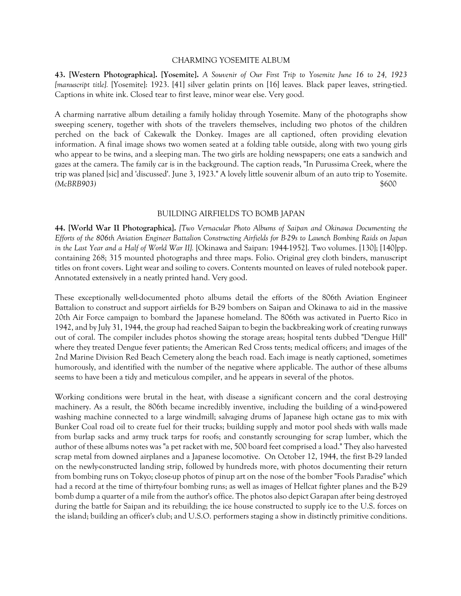#### CHARMING YOSEMITE ALBUM

**43. [Western Photographica]. [Yosemite].** *A Souvenir of Our First Trip to Yosemite June 16 to 24, 1923 [manuscript title].* [Yosemite]: 1923. [41] silver gelatin prints on [16] leaves. Black paper leaves, string-tied. Captions in white ink. Closed tear to first leave, minor wear else. Very good.

A charming narrative album detailing a family holiday through Yosemite. Many of the photographs show sweeping scenery, together with shots of the travelers themselves, including two photos of the children perched on the back of Cakewalk the Donkey. Images are all captioned, often providing elevation information. A final image shows two women seated at a folding table outside, along with two young girls who appear to be twins, and a sleeping man. The two girls are holding newspapers; one eats a sandwich and gazes at the camera. The family car is in the background. The caption reads, "In Purussima Creek, where the trip was planed [sic] and 'discussed'. June 3, 1923." A lovely little souvenir album of an auto trip to Yosemite. *(McBRB903)* \$600

#### BUILDING AIRFIELDS TO BOMB JAPAN

**44. [World War II Photographica].** *[Two Vernacular Photo Albums of Saipan and Okinawa Documenting the Efforts of the 806th Aviation Engineer Battalion Constructing Airfields for B-29s to Launch Bombing Raids on Japan in the Last Year and a Half of World War II].* [Okinawa and Saipan: 1944-1952]. Two volumes. [130]; [140]pp. containing 268; 315 mounted photographs and three maps. Folio. Original grey cloth binders, manuscript titles on front covers. Light wear and soiling to covers. Contents mounted on leaves of ruled notebook paper. Annotated extensively in a neatly printed hand. Very good.

These exceptionally well-documented photo albums detail the efforts of the 806th Aviation Engineer Battalion to construct and support airfields for B-29 bombers on Saipan and Okinawa to aid in the massive 20th Air Force campaign to bombard the Japanese homeland. The 806th was activated in Puerto Rico in 1942, and by July 31, 1944, the group had reached Saipan to begin the backbreaking work of creating runways out of coral. The compiler includes photos showing the storage areas; hospital tents dubbed "Dengue Hill" where they treated Dengue fever patients; the American Red Cross tents; medical officers; and images of the 2nd Marine Division Red Beach Cemetery along the beach road. Each image is neatly captioned, sometimes humorously, and identified with the number of the negative where applicable. The author of these albums seems to have been a tidy and meticulous compiler, and he appears in several of the photos.

Working conditions were brutal in the heat, with disease a significant concern and the coral destroying machinery. As a result, the 806th became incredibly inventive, including the building of a wind-powered washing machine connected to a large windmill; salvaging drums of Japanese high octane gas to mix with Bunker Coal road oil to create fuel for their trucks; building supply and motor pool sheds with walls made from burlap sacks and army truck tarps for roofs; and constantly scrounging for scrap lumber, which the author of these albums notes was "a pet racket with me, 500 board feet comprised a load." They also harvested scrap metal from downed airplanes and a Japanese locomotive. On October 12, 1944, the first B-29 landed on the newly-constructed landing strip, followed by hundreds more, with photos documenting their return from bombing runs on Tokyo; close-up photos of pinup art on the nose of the bomber "Fools Paradise" which had a record at the time of thirty-four bombing runs; as well as images of Hellcat fighter planes and the B-29 bomb dump a quarter of a mile from the author's office. The photos also depict Garapan after being destroyed during the battle for Saipan and its rebuilding; the ice house constructed to supply ice to the U.S. forces on the island; building an officer's club; and U.S.O. performers staging a show in distinctly primitive conditions.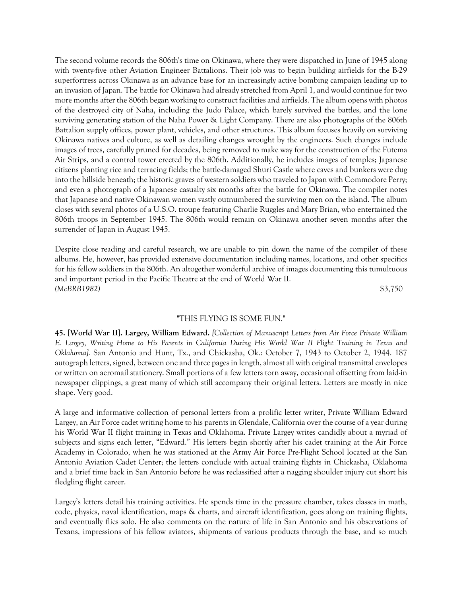The second volume records the 806th's time on Okinawa, where they were dispatched in June of 1945 along with twenty-five other Aviation Engineer Battalions. Their job was to begin building airfields for the B-29 superfortress across Okinawa as an advance base for an increasingly active bombing campaign leading up to an invasion of Japan. The battle for Okinawa had already stretched from April 1, and would continue for two more months after the 806th began working to construct facilities and airfields. The album opens with photos of the destroyed city of Naha, including the Judo Palace, which barely survived the battles, and the lone surviving generating station of the Naha Power & Light Company. There are also photographs of the 806th Battalion supply offices, power plant, vehicles, and other structures. This album focuses heavily on surviving Okinawa natives and culture, as well as detailing changes wrought by the engineers. Such changes include images of trees, carefully pruned for decades, being removed to make way for the construction of the Futema Air Strips, and a control tower erected by the 806th. Additionally, he includes images of temples; Japanese citizens planting rice and terracing fields; the battle-damaged Shuri Castle where caves and bunkers were dug into the hillside beneath; the historic graves of western soldiers who traveled to Japan with Commodore Perry; and even a photograph of a Japanese casualty six months after the battle for Okinawa. The compiler notes that Japanese and native Okinawan women vastly outnumbered the surviving men on the island. The album closes with several photos of a U.S.O. troupe featuring Charlie Ruggles and Mary Brian, who entertained the 806th troops in September 1945. The 806th would remain on Okinawa another seven months after the surrender of Japan in August 1945.

Despite close reading and careful research, we are unable to pin down the name of the compiler of these albums. He, however, has provided extensive documentation including names, locations, and other specifics for his fellow soldiers in the 806th. An altogether wonderful archive of images documenting this tumultuous and important period in the Pacific Theatre at the end of World War II. *(McBRB1982)* \$3,750

# "THIS FLYING IS SOME FUN."

**45. [World War II]. Largey, William Edward.** *[Collection of Manuscript Letters from Air Force Private William E. Largey, Writing Home to His Parents in California During His World War II Flight Training in Texas and Oklahoma].* San Antonio and Hunt, Tx., and Chickasha, Ok.: October 7, 1943 to October 2, 1944. 187 autograph letters, signed, between one and three pages in length, almost all with original transmittal envelopes or written on aeromail stationery. Small portions of a few letters torn away, occasional offsetting from laid-in newspaper clippings, a great many of which still accompany their original letters. Letters are mostly in nice shape. Very good.

A large and informative collection of personal letters from a prolific letter writer, Private William Edward Largey, an Air Force cadet writing home to his parents in Glendale, California over the course of a year during his World War II flight training in Texas and Oklahoma. Private Largey writes candidly about a myriad of subjects and signs each letter, "Edward." His letters begin shortly after his cadet training at the Air Force Academy in Colorado, when he was stationed at the Army Air Force Pre-Flight School located at the San Antonio Aviation Cadet Center; the letters conclude with actual training flights in Chickasha, Oklahoma and a brief time back in San Antonio before he was reclassified after a nagging shoulder injury cut short his fledgling flight career.

Largey's letters detail his training activities. He spends time in the pressure chamber, takes classes in math, code, physics, naval identification, maps & charts, and aircraft identification, goes along on training flights, and eventually flies solo. He also comments on the nature of life in San Antonio and his observations of Texans, impressions of his fellow aviators, shipments of various products through the base, and so much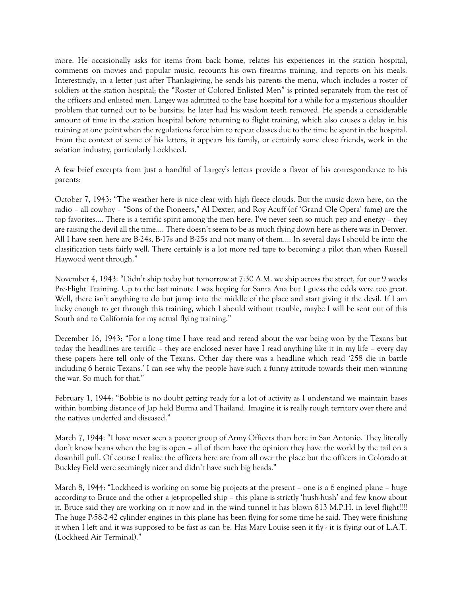more. He occasionally asks for items from back home, relates his experiences in the station hospital, comments on movies and popular music, recounts his own firearms training, and reports on his meals. Interestingly, in a letter just after Thanksgiving, he sends his parents the menu, which includes a roster of soldiers at the station hospital; the "Roster of Colored Enlisted Men" is printed separately from the rest of the officers and enlisted men. Largey was admitted to the base hospital for a while for a mysterious shoulder problem that turned out to be bursitis; he later had his wisdom teeth removed. He spends a considerable amount of time in the station hospital before returning to flight training, which also causes a delay in his training at one point when the regulations force him to repeat classes due to the time he spent in the hospital. From the context of some of his letters, it appears his family, or certainly some close friends, work in the aviation industry, particularly Lockheed.

A few brief excerpts from just a handful of Largey's letters provide a flavor of his correspondence to his parents:

October 7, 1943: "The weather here is nice clear with high fleece clouds. But the music down here, on the radio – all cowboy – "Sons of the Pioneers," Al Dexter, and Roy Acuff (of 'Grand Ole Opera' fame) are the top favorites…. There is a terrific spirit among the men here. I've never seen so much pep and energy – they are raising the devil all the time…. There doesn't seem to be as much flying down here as there was in Denver. All I have seen here are B-24s, B-17s and B-25s and not many of them…. In several days I should be into the classification tests fairly well. There certainly is a lot more red tape to becoming a pilot than when Russell Haywood went through."

November 4, 1943: "Didn't ship today but tomorrow at 7:30 A.M. we ship across the street, for our 9 weeks Pre-Flight Training. Up to the last minute I was hoping for Santa Ana but I guess the odds were too great. Well, there isn't anything to do but jump into the middle of the place and start giving it the devil. If I am lucky enough to get through this training, which I should without trouble, maybe I will be sent out of this South and to California for my actual flying training."

December 16, 1943: "For a long time I have read and reread about the war being won by the Texans but today the headlines are terrific – they are enclosed never have I read anything like it in my life – every day these papers here tell only of the Texans. Other day there was a headline which read '258 die in battle including 6 heroic Texans.' I can see why the people have such a funny attitude towards their men winning the war. So much for that."

February 1, 1944: "Bobbie is no doubt getting ready for a lot of activity as I understand we maintain bases within bombing distance of Jap held Burma and Thailand. Imagine it is really rough territory over there and the natives underfed and diseased."

March 7, 1944: "I have never seen a poorer group of Army Officers than here in San Antonio. They literally don't know beans when the bag is open – all of them have the opinion they have the world by the tail on a downhill pull. Of course I realize the officers here are from all over the place but the officers in Colorado at Buckley Field were seemingly nicer and didn't have such big heads."

March 8, 1944: "Lockheed is working on some big projects at the present – one is a 6 engined plane – huge according to Bruce and the other a jet-propelled ship – this plane is strictly 'hush-hush' and few know about it. Bruce said they are working on it now and in the wind tunnel it has blown 813 M.P.H. in level flight!!!! The huge P-58-2-42 cylinder engines in this plane has been flying for some time he said. They were finishing it when I left and it was supposed to be fast as can be. Has Mary Louise seen it fly - it is flying out of L.A.T. (Lockheed Air Terminal)."